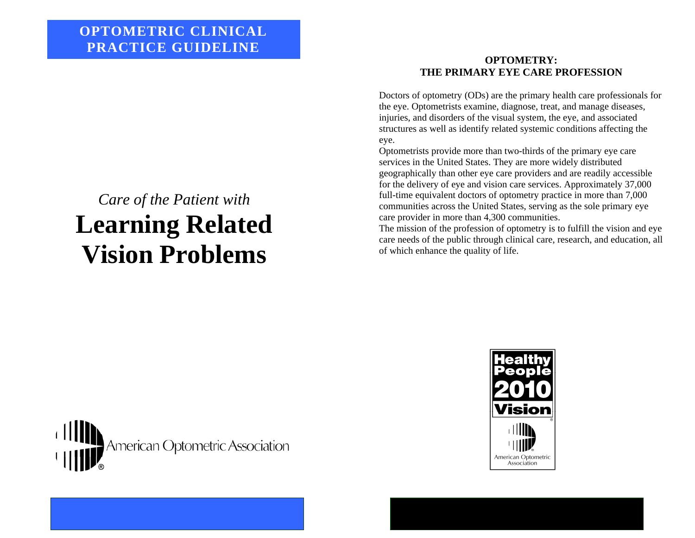# *Care of the Patient with*  **Learning Related Vision Problems**

# **OPTOMETRY: THE PRIMARY EYE CARE PROFESSION**

Doctors of optometry (ODs) are the primary health care professionals for the eye. Optometrists examine, diagnose, treat, and manage diseases, injuries, and disorders of the visual system, the eye, and associated structures as well as identify related systemic conditions affecting the eye.

Optometrists provide more than two-thirds of the primary eye care services in the United States. They are more widely distributed geographically than other eye care providers and are readily accessible for the delivery of eye and vision care services. Approximately 37,000 full-time equivalent doctors of optometry practice in more than 7,000 communities across the United States, serving as the sole primary eye care provider in more than 4,300 communities.

The mission of the profession of optometry is to fulfill the vision and eye care needs of the public through clinical care, research, and education, all of which enhance the quality of life.



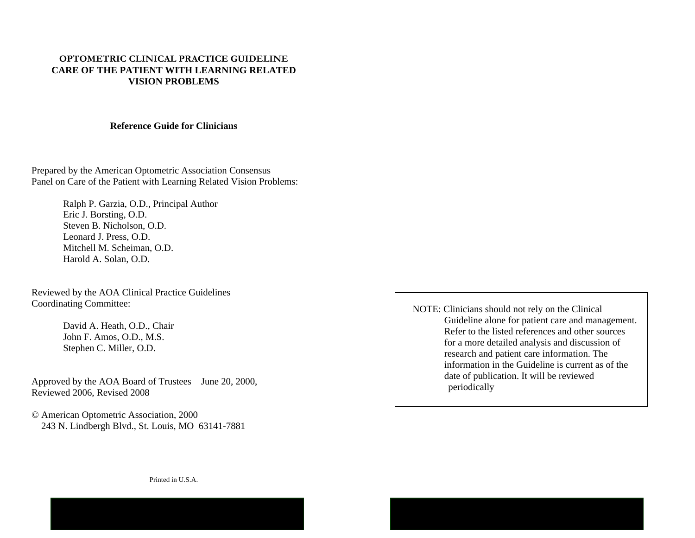# **OPTOMETRIC CLINICAL PRACTICE GUIDELINE CARE OF THE PATIENT WITH LEARNING RELATED VISION PROBLEMS**

#### **Reference Guide for Clinicians**

Prepared by the American Optometric Association Consensus Panel on Care of the Patient with Learning Related Vision Problems:

> Ralph P. Garzia, O.D., Principal Author Eric J. Borsting, O.D. Steven B. Nicholson, O.D. Leonard J. Press, O.D. Mitchell M. Scheiman, O.D. Harold A. Solan, O.D.

Reviewed by the AOA Clinical Practice Guidelines Coordinating Committee:

> David A. Heath, O.D., Chair John F. Amos, O.D., M.S. Stephen C. Miller, O.D.

Approved by the AOA Board of Trustees June 20, 2000, Reviewed 2006, Revised 2008

© American Optometric Association, 2000 243 N. Lindbergh Blvd., St. Louis, MO 63141-7881 NOTE: Clinicians should not rely on the Clinical Guideline alone for patient care and management. Refer to the listed references and other sources for a more detailed analysis and discussion of research and patient care information. The information in the Guideline is current as of the date of publication. It will be reviewed periodically

Printed in U.S.A.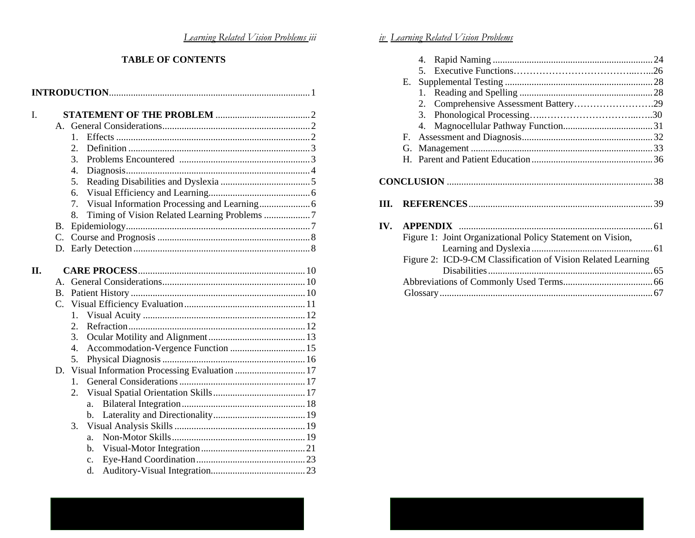# *Learning Related Vision Problems iii*

#### **TABLE OF CONTENTS**

| L   |             |                                                       |  |  |  |
|-----|-------------|-------------------------------------------------------|--|--|--|
|     | $A_{\cdot}$ |                                                       |  |  |  |
|     |             | 1.                                                    |  |  |  |
|     |             | 2.                                                    |  |  |  |
|     |             | 3.                                                    |  |  |  |
|     |             | $\overline{4}$ .                                      |  |  |  |
|     |             | 5.                                                    |  |  |  |
|     |             | 6.                                                    |  |  |  |
|     |             | 7.                                                    |  |  |  |
|     |             | 8.                                                    |  |  |  |
|     | Β.          |                                                       |  |  |  |
|     | C.          |                                                       |  |  |  |
|     |             |                                                       |  |  |  |
|     |             |                                                       |  |  |  |
| II. |             |                                                       |  |  |  |
|     | $A_{\cdot}$ |                                                       |  |  |  |
|     |             |                                                       |  |  |  |
|     | C.          |                                                       |  |  |  |
|     |             | 1.                                                    |  |  |  |
|     |             | 2.                                                    |  |  |  |
|     |             | 3.                                                    |  |  |  |
|     |             | Accommodation-Vergence Function  15<br>$\mathbf{4}$ . |  |  |  |
|     |             | 5.                                                    |  |  |  |
|     |             | D. Visual Information Processing Evaluation  17       |  |  |  |
|     |             | $\mathbf{1}$ .                                        |  |  |  |
|     |             | 2.                                                    |  |  |  |
|     |             | a.                                                    |  |  |  |
|     |             | b.                                                    |  |  |  |
|     |             | 3.                                                    |  |  |  |
|     |             | a.                                                    |  |  |  |
|     |             | b.                                                    |  |  |  |
|     |             | $\mathbf{c}$ .                                        |  |  |  |
|     |             | d.                                                    |  |  |  |

|     |    | 5.                                                           |  |
|-----|----|--------------------------------------------------------------|--|
|     |    |                                                              |  |
|     |    |                                                              |  |
|     |    | 2. Comprehensive Assessment Battery29                        |  |
|     |    |                                                              |  |
|     |    |                                                              |  |
|     | F. |                                                              |  |
|     |    |                                                              |  |
|     |    |                                                              |  |
|     |    |                                                              |  |
| IV. |    |                                                              |  |
|     |    | Figure 1: Joint Organizational Policy Statement on Vision,   |  |
|     |    |                                                              |  |
|     |    | Figure 2: ICD-9-CM Classification of Vision Related Learning |  |
|     |    |                                                              |  |
|     |    |                                                              |  |
|     |    |                                                              |  |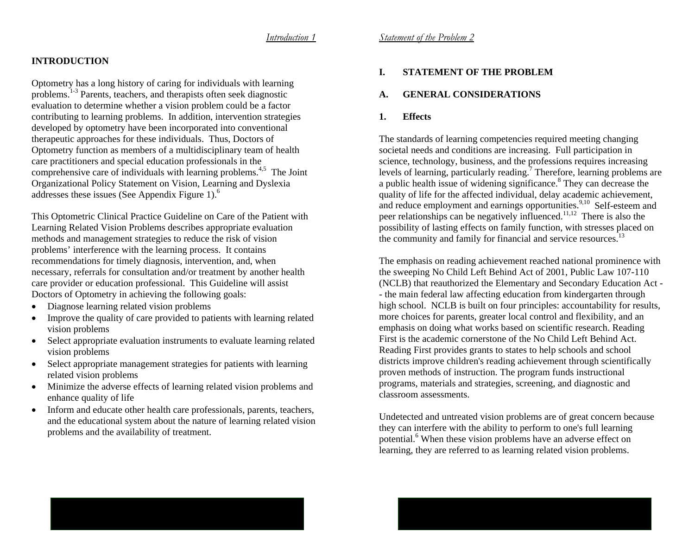# **INTRODUCTION**

Optometry has a long history of caring for individuals with learning problems.1-3 Parents, teachers, and therapists often seek diagnostic evaluation to determine whether a vision problem could be a factor contributing to learning problems. In addition, intervention strategies developed by optometry have been incorporated into conventional therapeutic approaches for these individuals. Thus, Doctors of Optometry function as members of a multidisciplinary team of health care practitioners and special education professionals in the comprehensive care of individuals with learning problems.<sup>4,5</sup> The Joint Organizational Policy Statement on Vision, Learning and Dyslexia addresses these issues (See Appendix Figure 1).<sup>6</sup>

This Optometric Clinical Practice Guideline on Care of the Patient with Learning Related Vision Problems describes appropriate evaluation methods and management strategies to reduce the risk of vision problems' interference with the learning process. It contains recommendations for timely diagnosis, intervention, and, when necessary, referrals for consultation and/or treatment by another health care provider or education professional. This Guideline will assist Doctors of Optometry in achieving the following goals:

- •Diagnose learning related vision problems
- Improve the quality of care provided to patients with learning related vision problems
- Select appropriate evaluation instruments to evaluate learning related vision problems
- • Select appropriate management strategies for patients with learning related vision problems
- • Minimize the adverse effects of learning related vision problems and enhance quality of life
- • Inform and educate other health care professionals, parents, teachers, and the educational system about the nature of learning related vision problems and the availability of treatment.

# **I. STATEMENT OF THE PROBLEM**

#### **A. GENERAL CONSIDERATIONS**

# **1. Effects**

The standards of learning competencies required meeting changing societal needs and conditions are increasing. Full participation in science, technology, business, and the professions requires increasing levels of learning, particularly reading.7 Therefore, learning problems are a public health issue of widening significance.8 They can decrease the quality of life for the affected individual, delay academic achievement, and reduce employment and earnings opportunities.<sup>9,10</sup> Self-esteem and peer relationships can be negatively influenced.11,12 There is also the possibility of lasting effects on family function, with stresses placed on the community and family for financial and service resources.<sup>13</sup>

The emphasis on reading achievement reached national prominence with the sweeping No Child Left Behind Act of 2001, Public Law 107-110 (NCLB) that reauthorized the Elementary and Secondary Education Act - - the main federal law affecting education from kindergarten through high school. NCLB is built on four principles: accountability for results, more choices for parents, greater local control and flexibility, and an emphasis on doing what works based on scientific research. Reading First is the academic cornerstone of the No Child Left Behind Act. Reading First provides grants to states to help schools and school districts improve children's reading achievement through scientifically proven methods of instruction. The program funds instructional programs, materials and strategies, screening, and diagnostic and classroom assessments.

Undetected and untreated vision problems are of great concern because they can interfere with the ability to perform to one's full learning potential.6 When these vision problems have an adverse effect on learning, they are referred to as learning related vision problems.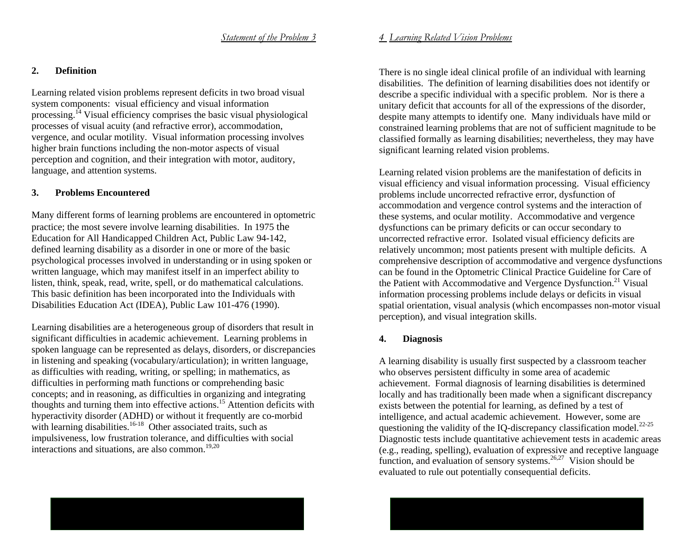### **2. Definition**

Learning related vision problems represent deficits in two broad visual system components: visual efficiency and visual information processing.14 Visual efficiency comprises the basic visual physiological processes of visual acuity (and refractive error), accommodation, vergence, and ocular motility. Visual information processing involves higher brain functions including the non-motor aspects of visual perception and cognition, and their integration with motor, auditory, language, and attention systems.

# **3. Problems Encountered**

Many different forms of learning problems are encountered in optometric practice; the most severe involve learning disabilities. In 1975 the Education for All Handicapped Children Act, Public Law 94-142, defined learning disability as a disorder in one or more of the basic psychological processes involved in understanding or in using spoken or written language, which may manifest itself in an imperfect ability to listen, think, speak, read, write, spell, or do mathematical calculations. This basic definition has been incorporated into the Individuals with Disabilities Education Act (IDEA), Public Law 101-476 (1990).

Learning disabilities are a heterogeneous group of disorders that result in significant difficulties in academic achievement. Learning problems in spoken language can be represented as delays, disorders, or discrepancies in listening and speaking (vocabulary/articulation); in written language, as difficulties with reading, writing, or spelling; in mathematics, as difficulties in performing math functions or comprehending basic concepts; and in reasoning, as difficulties in organizing and integrating thoughts and turning them into effective actions.15 Attention deficits with hyperactivity disorder (ADHD) or without it frequently are co-morbid with learning disabilities.<sup>16-18</sup> Other associated traits, such as impulsiveness, low frustration tolerance, and difficulties with social interactions and situations, are also common.<sup>19,20</sup>

# *4 Learning Related Vision Problems*

There is no single ideal clinical profile of an individual with learning disabilities. The definition of learning disabilities does not identify or describe a specific individual with a specific problem. Nor is there a unitary deficit that accounts for all of the expressions of the disorder, despite many attempts to identify one. Many individuals have mild or constrained learning problems that are not of sufficient magnitude to be classified formally as learning disabilities; nevertheless, they may have significant learning related vision problems.

Learning related vision problems are the manifestation of deficits in visual efficiency and visual information processing. Visual efficiency problems include uncorrected refractive error, dysfunction of accommodation and vergence control systems and the interaction of these systems, and ocular motility. Accommodative and vergence dysfunctions can be primary deficits or can occur secondary to uncorrected refractive error. Isolated visual efficiency deficits are relatively uncommon; most patients present with multiple deficits. A comprehensive description of accommodative and vergence dysfunctions can be found in the Optometric Clinical Practice Guideline for Care of the Patient with Accommodative and Vergence Dysfunction.<sup>21</sup> Visual information processing problems include delays or deficits in visual spatial orientation, visual analysis (which encompasses non-motor visual perception), and visual integration skills.

# **4. Diagnosis**

A learning disability is usually first suspected by a classroom teacher who observes persistent difficulty in some area of academic achievement. Formal diagnosis of learning disabilities is determined locally and has traditionally been made when a significant discrepancy exists between the potential for learning, as defined by a test of intelligence, and actual academic achievement. However, some are questioning the validity of the IQ-discrepancy classification model.<sup>22-25</sup> Diagnostic tests include quantitative achievement tests in academic areas (e.g., reading, spelling), evaluation of expressive and receptive language function, and evaluation of sensory systems.<sup>26,27</sup> Vision should be evaluated to rule out potentially consequential deficits.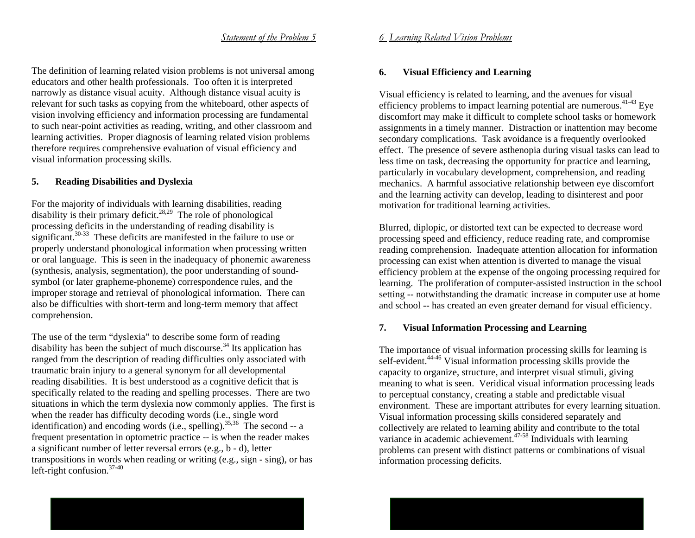The definition of learning related vision problems is not universal among educators and other health professionals. Too often it is interpreted narrowly as distance visual acuity. Although distance visual acuity is relevant for such tasks as copying from the whiteboard, other aspects of vision involving efficiency and information processing are fundamental to such near-point activities as reading, writing, and other classroom and learning activities. Proper diagnosis of learning related vision problems therefore requires comprehensive evaluation of visual efficiency and visual information processing skills.

# **5. Reading Disabilities and Dyslexia**

For the majority of individuals with learning disabilities, reading disability is their primary deficit. $28,29$  The role of phonological processing deficits in the understanding of reading disability is significant.<sup>30-33</sup> These deficits are manifested in the failure to use or properly understand phonological information when processing written or oral language. This is seen in the inadequacy of phonemic awareness (synthesis, analysis, segmentation), the poor understanding of soundsymbol (or later grapheme-phoneme) correspondence rules, and the improper storage and retrieval of phonological information. There can also be difficulties with short-term and long-term memory that affect comprehension.

The use of the term "dyslexia" to describe some form of reading disability has been the subject of much discourse.<sup>34</sup> Its application has ranged from the description of reading difficulties only associated with traumatic brain injury to a general synonym for all developmental reading disabilities. It is best understood as a cognitive deficit that is specifically related to the reading and spelling processes. There are two situations in which the term dyslexia now commonly applies. The first is when the reader has difficulty decoding words (i.e., single word identification) and encoding words (i.e., spelling).<sup>35,36</sup> The second -- a frequent presentation in optometric practice -- is when the reader makes a significant number of letter reversal errors (e.g., b - d), letter transpositions in words when reading or writing (e.g., sign - sing), or has left-right confusion.37-40

# *6 Learning Related Vision Problems*

# **6. Visual Efficiency and Learning**

Visual efficiency is related to learning, and the avenues for visual efficiency problems to impact learning potential are numerous.  $41-43$  Eye discomfort may make it difficult to complete school tasks or homework assignments in a timely manner. Distraction or inattention may become secondary complications. Task avoidance is a frequently overlooked effect. The presence of severe asthenopia during visual tasks can lead to less time on task, decreasing the opportunity for practice and learning, particularly in vocabulary development, comprehension, and reading mechanics. A harmful associative relationship between eye discomfort and the learning activity can develop, leading to disinterest and poor motivation for traditional learning activities.

Blurred, diplopic, or distorted text can be expected to decrease word processing speed and efficiency, reduce reading rate, and compromise reading comprehension. Inadequate attention allocation for information processing can exist when attention is diverted to manage the visual efficiency problem at the expense of the ongoing processing required for learning. The proliferation of computer-assisted instruction in the school setting -- notwithstanding the dramatic increase in computer use at home and school -- has created an even greater demand for visual efficiency.

# **7. Visual Information Processing and Learning**

The importance of visual information processing skills for learning is self-evident.<sup>44-46</sup> Visual information processing skills provide the capacity to organize, structure, and interpret visual stimuli, giving meaning to what is seen. Veridical visual information processing leads to perceptual constancy, creating a stable and predictable visual environment. These are important attributes for every learning situation. Visual information processing skills considered separately and collectively are related to learning ability and contribute to the total variance in academic achievement.47-58 Individuals with learning problems can present with distinct patterns or combinations of visual information processing deficits.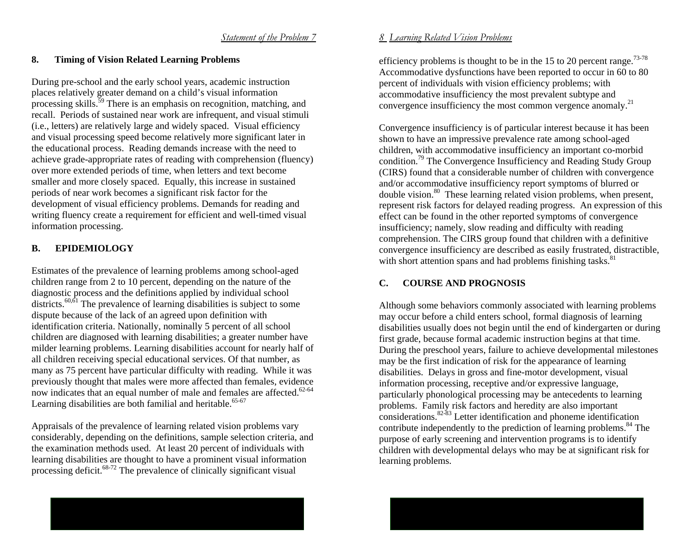# **8. Timing of Vision Related Learning Problems**

During pre-school and the early school years, academic instruction places relatively greater demand on a child's visual information processing skills.59 There is an emphasis on recognition, matching, and recall. Periods of sustained near work are infrequent, and visual stimuli (i.e., letters) are relatively large and widely spaced. Visual efficiency and visual processing speed become relatively more significant later in the educational process. Reading demands increase with the need to achieve grade-appropriate rates of reading with comprehension (fluency) over more extended periods of time, when letters and text become smaller and more closely spaced. Equally, this increase in sustained periods of near work becomes a significant risk factor for the development of visual efficiency problems. Demands for reading and writing fluency create a requirement for efficient and well-timed visual information processing.

# **B. EPIDEMIOLOGY**

Estimates of the prevalence of learning problems among school-aged children range from 2 to 10 percent, depending on the nature of the diagnostic process and the definitions applied by individual school districts.<sup>60, $\delta$ 1</sup> The prevalence of learning disabilities is subject to some dispute because of the lack of an agreed upon definition with identification criteria. Nationally, nominally 5 percent of all school children are diagnosed with learning disabilities; a greater number have milder learning problems. Learning disabilities account for nearly half of all children receiving special educational services. Of that number, as many as 75 percent have particular difficulty with reading. While it was previously thought that males were more affected than females, evidence now indicates that an equal number of male and females are affected.<sup>62-64</sup> Learning disabilities are both familial and heritable. $65-67$ 

Appraisals of the prevalence of learning related vision problems vary considerably, depending on the definitions, sample selection criteria, and the examination methods used. At least 20 percent of individuals with learning disabilities are thought to have a prominent visual information processing deficit.68-72 The prevalence of clinically significant visual

### *8 Learning Related Vision Problems*

efficiency problems is thought to be in the 15 to 20 percent range.<sup>73-78</sup> Accommodative dysfunctions have been reported to occur in 60 to 80 percent of individuals with vision efficiency problems; with accommodative insufficiency the most prevalent subtype and convergence insufficiency the most common vergence anomaly.<sup>21</sup>

Convergence insufficiency is of particular interest because it has been shown to have an impressive prevalence rate among school-aged children, with accommodative insufficiency an important co-morbid condition.79 The Convergence Insufficiency and Reading Study Group (CIRS) found that a considerable number of children with convergence and/or accommodative insufficiency report symptoms of blurred or double vision.80 These learning related vision problems, when present, represent risk factors for delayed reading progress. An expression of this effect can be found in the other reported symptoms of convergence insufficiency; namely, slow reading and difficulty with reading comprehension. The CIRS group found that children with a definitive convergence insufficiency are described as easily frustrated, distractible, with short attention spans and had problems finishing tasks.<sup>81</sup>

# **C. COURSE AND PROGNOSIS**

Although some behaviors commonly associated with learning problems may occur before a child enters school, formal diagnosis of learning disabilities usually does not begin until the end of kindergarten or during first grade, because formal academic instruction begins at that time. During the preschool years, failure to achieve developmental milestones may be the first indication of risk for the appearance of learning disabilities. Delays in gross and fine-motor development, visual information processing, receptive and/or expressive language, particularly phonological processing may be antecedents to learning problems. Family risk factors and heredity are also important considerations.82-83 Letter identification and phoneme identification contribute independently to the prediction of learning problems.<sup>84</sup> The purpose of early screening and intervention programs is to identify children with developmental delays who may be at significant risk for learning problems.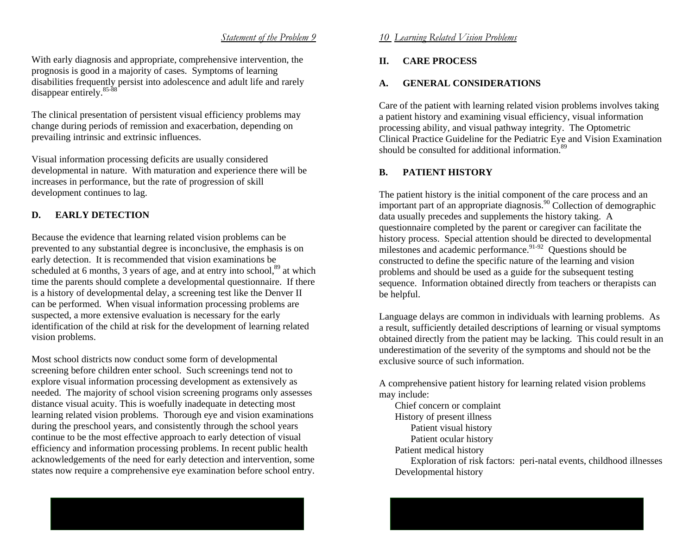### *Statement of the Problem 9*

With early diagnosis and appropriate, comprehensive intervention, the prognosis is good in a majority of cases. Symptoms of learning disabilities frequently persist into adolescence and adult life and rarely disappear entirely.<sup>85-88</sup>

The clinical presentation of persistent visual efficiency problems may change during periods of remission and exacerbation, depending on prevailing intrinsic and extrinsic influences.

Visual information processing deficits are usually considered developmental in nature. With maturation and experience there will be increases in performance, but the rate of progression of skill development continues to lag.

# **D. EARLY DETECTION**

Because the evidence that learning related vision problems can be prevented to any substantial degree is inconclusive, the emphasis is on early detection. It is recommended that vision examinations be scheduled at 6 months, 3 years of age, and at entry into school, $89$  at which time the parents should complete a developmental questionnaire. If there is a history of developmental delay, a screening test like the Denver II can be performed. When visual information processing problems are suspected, a more extensive evaluation is necessary for the early identification of the child at risk for the development of learning related vision problems.

Most school districts now conduct some form of developmental screening before children enter school. Such screenings tend not to explore visual information processing development as extensively as needed. The majority of school vision screening programs only assesses distance visual acuity. This is woefully inadequate in detecting most learning related vision problems. Thorough eye and vision examinations during the preschool years, and consistently through the school years continue to be the most effective approach to early detection of visual efficiency and information processing problems. In recent public health acknowledgements of the need for early detection and intervention, some states now require a comprehensive eye examination before school entry.

### *10 Learning Related Vision Problems*

#### **II.CARE PROCESS**

#### **A.GENERAL CONSIDERATIONS**

Care of the patient with learning related vision problems involves taking a patient history and examining visual efficiency, visual information processing ability, and visual pathway integrity. The Optometric Clinical Practice Guideline for the Pediatric Eye and Vision Examination should be consulted for additional information.<sup>89</sup>

#### **B.PATIENT HISTORY**

The patient history is the initial component of the care process and an important part of an appropriate diagnosis.<sup>90</sup> Collection of demographic data usually precedes and supplements the history taking. A questionnaire completed by the parent or caregiver can facilitate the history process. Special attention should be directed to developmental milestones and academic performance.<sup>91-92</sup> Questions should be constructed to define the specific nature of the learning and vision problems and should be used as a guide for the subsequent testing sequence. Information obtained directly from teachers or therapists can be helpful.

Language delays are common in individuals with learning problems. As a result, sufficiently detailed descriptions of learning or visual symptoms obtained directly from the patient may be lacking. This could result in an underestimation of the severity of the symptoms and should not be the exclusive source of such information.

A comprehensive patient history for learning related vision problems may include:

 Chief concern or complaint History of present illness Patient visual history Patient ocular history Patient medical history Exploration of risk factors: peri-natal events, childhood illnesses Developmental history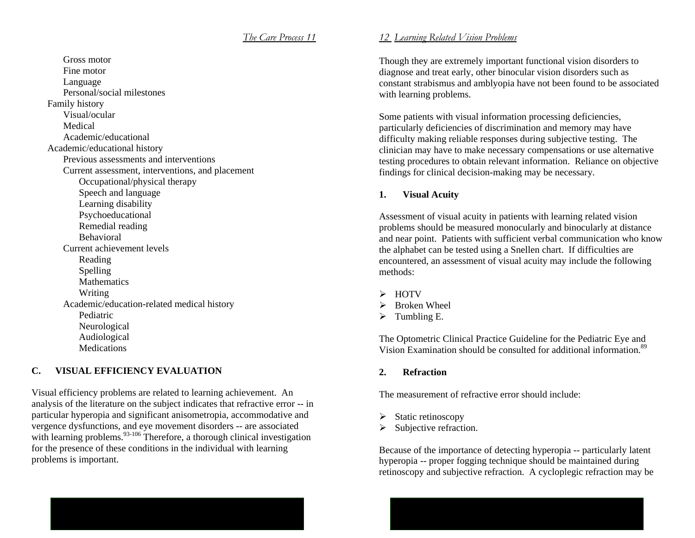Gross motor Fine motor Language Personal/social milestones Family history Visual/ocular Medical Academic/educational Academic/educational history Previous assessments and interventions Current assessment, interventions, and placement Occupational/physical therapy Speech and language Learning disability Psychoeducational Remedial reading Behavioral Current achievement levels Reading Spelling Mathematics Writing Academic/education-related medical history Pediatric Neurological Audiological **Medications** 

# **C. VISUAL EFFICIENCY EVALUATION**

Visual efficiency problems are related to learning achievement. An analysis of the literature on the subject indicates that refractive error -- in particular hyperopia and significant anisometropia, accommodative and vergence dysfunctions, and eye movement disorders -- are associated with learning problems.<sup>93-106</sup> Therefore, a thorough clinical investigation for the presence of these conditions in the individual with learning problems is important.

# *12 Learning Related Vision Problems*

Though they are extremely important functional vision disorders to diagnose and treat early, other binocular vision disorders such as constant strabismus and amblyopia have not been found to be associated with learning problems.

Some patients with visual information processing deficiencies, particularly deficiencies of discrimination and memory may have difficulty making reliable responses during subjective testing. The clinician may have to make necessary compensations or use alternative testing procedures to obtain relevant information. Reliance on objective findings for clinical decision-making may be necessary.

#### **1.Visual Acuity**

Assessment of visual acuity in patients with learning related vision problems should be measured monocularly and binocularly at distance and near point. Patients with sufficient verbal communication who know the alphabet can be tested using a Snellen chart. If difficulties are encountered, an assessment of visual acuity may include the following methods:

- ¾ HOTV
- $\triangleright$  Broken Wheel
- $\triangleright$  Tumbling E.

The Optometric Clinical Practice Guideline for the Pediatric Eye and Vision Examination should be consulted for additional information.<sup>89</sup>

**2.Refraction** 

The measurement of refractive error should include:

- ¾Static retinoscopy
- ¾Subjective refraction.

Because of the importance of detecting hyperopia -- particularly latent hyperopia -- proper fogging technique should be maintained during retinoscopy and subjective refraction. A cycloplegic refraction may be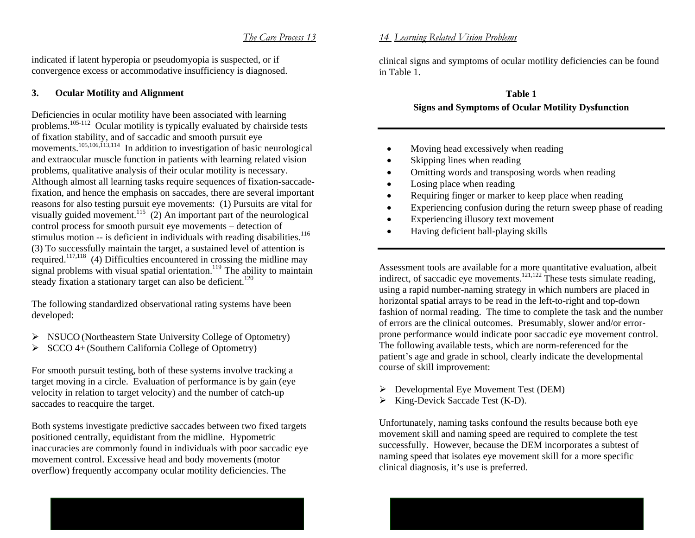indicated if latent hyperopia or pseudomyopia is suspected, or if convergence excess or accommodative insufficiency is diagnosed.

#### **3.Ocular Motility and Alignment**

Deficiencies in ocular motility have been associated with learning problems.105-112 Ocular motility is typically evaluated by chairside tests of fixation stability, and of saccadic and smooth pursuit eye movements.<sup>105,106,113,114</sup> In addition to investigation of basic neurological and extraocular muscle function in patients with learning related vision problems, qualitative analysis of their ocular motility is necessary. Although almost all learning tasks require sequences of fixation-saccadefixation, and hence the emphasis on saccades, there are several important reasons for also testing pursuit eye movements: (1) Pursuits are vital for visually guided movement.<sup>115</sup> (2) An important part of the neurological control process for smooth pursuit eye movements – detection of stimulus motion  $-$  is deficient in individuals with reading disabilities.<sup>116</sup> (3) To successfully maintain the target, a sustained level of attention is required.117,118 (4) Difficulties encountered in crossing the midline may signal problems with visual spatial orientation.<sup>119</sup> The ability to maintain steady fixation a stationary target can also be deficient.<sup>120</sup>

The following standardized observational rating systems have been developed:

- ¾ NSUCO (Northeastern State University College of Optometry)
- ¾ SCCO 4+ (Southern California College of Optometry)

For smooth pursuit testing, both of these systems involve tracking a target moving in a circle. Evaluation of performance is by gain (eye velocity in relation to target velocity) and the number of catch-up saccades to reacquire the target.

Both systems investigate predictive saccades between two fixed targets positioned centrally, equidistant from the midline. Hypometric inaccuracies are commonly found in individuals with poor saccadic eye movement control. Excessive head and body movements (motor overflow) frequently accompany ocular motility deficiencies. The

# *14 Learning Related Vision Problems*

clinical signs and symptoms of ocular motility deficiencies can be found in Table 1.

# **Table 1 Signs and Symptoms of Ocular Motility Dysfunction**

- •Moving head excessively when reading
- •Skipping lines when reading
- •Omitting words and transposing words when reading
- •Losing place when reading
- •Requiring finger or marker to keep place when reading
- •Experiencing confusion during the return sweep phase of reading
- •Experiencing illusory text movement
- •Having deficient ball-playing skills

Assessment tools are available for a more quantitative evaluation, albeit indirect, of saccadic eye movements.<sup>121,122</sup> These tests simulate reading, using a rapid number-naming strategy in which numbers are placed in horizontal spatial arrays to be read in the left-to-right and top-down fashion of normal reading. The time to complete the task and the number of errors are the clinical outcomes. Presumably, slower and/or errorprone performance would indicate poor saccadic eye movement control. The following available tests, which are norm-referenced for the patient's age and grade in school, clearly indicate the developmental course of skill improvement:

- ¾ Developmental Eye Movement Test (DEM)
- $\triangleright$  King-Devick Saccade Test (K-D).

Unfortunately, naming tasks confound the results because both eye movement skill and naming speed are required to complete the test successfully. However, because the DEM incorporates a subtest of naming speed that isolates eye movement skill for a more specific clinical diagnosis, it's use is preferred.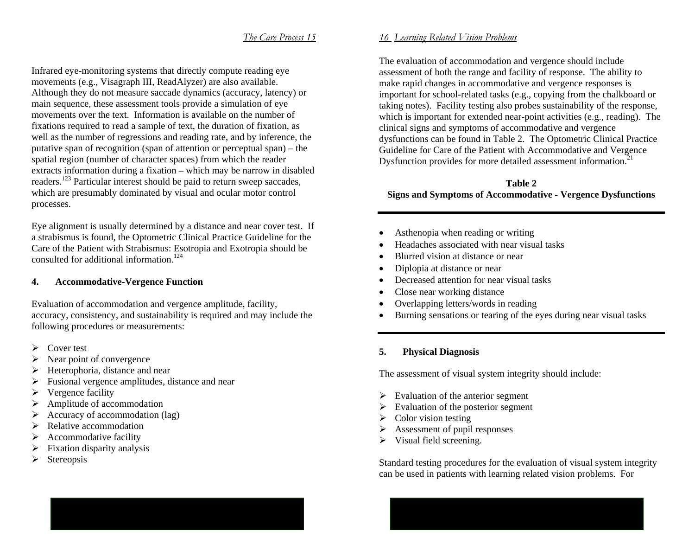Infrared eye-monitoring systems that directly compute reading eye movements (e.g., Visagraph III, ReadAlyzer) are also available. Although they do not measure saccade dynamics (accuracy, latency) or main sequence, these assessment tools provide a simulation of eye movements over the text. Information is available on the number of fixations required to read a sample of text, the duration of fixation, as well as the number of regressions and reading rate, and by inference, the putative span of recognition (span of attention or perceptual span) – the spatial region (number of character spaces) from which the reader extracts information during a fixation – which may be narrow in disabled readers.123 Particular interest should be paid to return sweep saccades, which are presumably dominated by visual and ocular motor control processes.

Eye alignment is usually determined by a distance and near cover test. If a strabismus is found, the Optometric Clinical Practice Guideline for the Care of the Patient with Strabismus: Esotropia and Exotropia should be consulted for additional information.<sup>124</sup>

#### **4.Accommodative-Vergence Function**

Evaluation of accommodation and vergence amplitude, facility, accuracy, consistency, and sustainability is required and may include the following procedures or measurements:

- ¾Cover test
- ¾Near point of convergence
- ¾Heterophoria, distance and near
- $\blacktriangleright$ Fusional vergence amplitudes, distance and near
- $\blacktriangleright$ Vergence facility
- $\blacktriangleright$ Amplitude of accommodation
- $\blacktriangleright$ Accuracy of accommodation (lag)
- ¾Relative accommodation
- ¾Accommodative facility
- ¾Fixation disparity analysis
- ¾Stereopsis

### *16 Learning Related Vision Problems*

The evaluation of accommodation and vergence should include assessment of both the range and facility of response. The ability to make rapid changes in accommodative and vergence responses is important for school-related tasks (e.g., copying from the chalkboard or taking notes). Facility testing also probes sustainability of the response, which is important for extended near-point activities (e.g., reading). The clinical signs and symptoms of accommodative and vergence dysfunctions can be found in Table 2. The Optometric Clinical Practice Guideline for Care of the Patient with Accommodative and Vergence Dysfunction provides for more detailed assessment information.<sup>21</sup>

# **Table 2 Signs and Symptoms of Accommodative - Vergence Dysfunctions**

- Asthenopia when reading or writing
- •Headaches associated with near visual tasks
- •Blurred vision at distance or near
- •Diplopia at distance or near
- •Decreased attention for near visual tasks
- •Close near working distance
- •Overlapping letters/words in reading
- •Burning sensations or tearing of the eyes during near visual tasks

#### **5.Physical Diagnosis**

The assessment of visual system integrity should include:

- $\triangleright$  Evaluation of the anterior segment
- $\triangleright$  Evaluation of the posterior segment
- $\triangleright$  Color vision testing
- $\triangleright$  Assessment of pupil responses
- $\triangleright$  Visual field screening.

Standard testing procedures for the evaluation of visual system integrity can be used in patients with learning related vision problems. For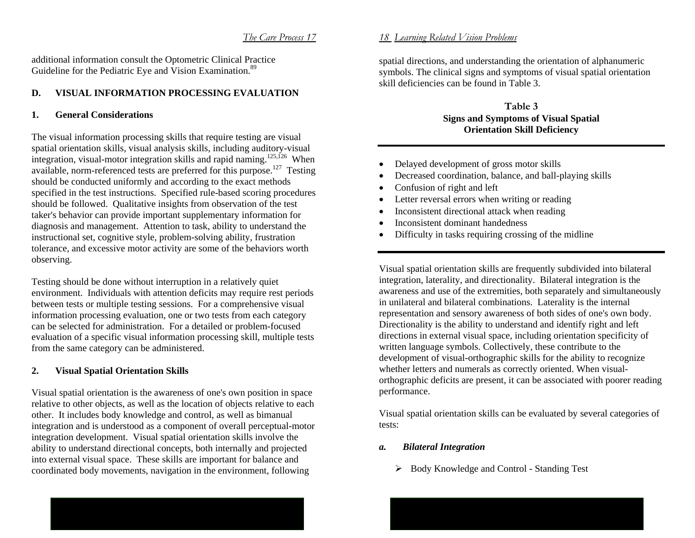additional information consult the Optometric Clinical Practice Guideline for the Pediatric Eye and Vision Examination.<sup>89</sup>

# **D. VISUAL INFORMATION PROCESSING EVALUATION**

# **1. General Considerations**

The visual information processing skills that require testing are visual spatial orientation skills, visual analysis skills, including auditory-visual integration, visual-motor integration skills and rapid naming.<sup>125,126</sup> When available, norm-referenced tests are preferred for this purpose.<sup>127</sup> Testing should be conducted uniformly and according to the exact methods specified in the test instructions. Specified rule-based scoring procedures should be followed. Qualitative insights from observation of the test taker's behavior can provide important supplementary information for diagnosis and management. Attention to task, ability to understand the instructional set, cognitive style, problem-solving ability, frustration tolerance, and excessive motor activity are some of the behaviors worth observing.

Testing should be done without interruption in a relatively quiet environment. Individuals with attention deficits may require rest periods between tests or multiple testing sessions. For a comprehensive visual information processing evaluation, one or two tests from each category can be selected for administration. For a detailed or problem-focused evaluation of a specific visual information processing skill, multiple tests from the same category can be administered.

#### **2.Visual Spatial Orientation Skills**

Visual spatial orientation is the awareness of one's own position in space relative to other objects, as well as the location of objects relative to each other. It includes body knowledge and control, as well as bimanual integration and is understood as a component of overall perceptual-motor integration development. Visual spatial orientation skills involve the ability to understand directional concepts, both internally and projected into external visual space. These skills are important for balance and coordinated body movements, navigation in the environment, following

# *18 Learning Related Vision Problems*

spatial directions, and understanding the orientation of alphanumeric symbols. The clinical signs and symptoms of visual spatial orientation skill deficiencies can be found in Table 3.

# **Table 3 Signs and Symptoms of Visual Spatial Orientation Skill Deficiency**

- •Delayed development of gross motor skills
- •Decreased coordination, balance, and ball-playing skills
- •Confusion of right and left
- •Letter reversal errors when writing or reading
- •Inconsistent directional attack when reading
- •Inconsistent dominant handedness
- •Difficulty in tasks requiring crossing of the midline

Visual spatial orientation skills are frequently subdivided into bilateral integration, laterality, and directionality. Bilateral integration is the awareness and use of the extremities, both separately and simultaneously in unilateral and bilateral combinations. Laterality is the internal representation and sensory awareness of both sides of one's own body. Directionality is the ability to understand and identify right and left directions in external visual space, including orientation specificity of written language symbols. Collectively, these contribute to the development of visual-orthographic skills for the ability to recognize whether letters and numerals as correctly oriented. When visualorthographic deficits are present, it can be associated with poorer reading performance.

Visual spatial orientation skills can be evaluated by several categories of tests:

#### *a.Bilateral Integration*

¾ Body Knowledge and Control - Standing Test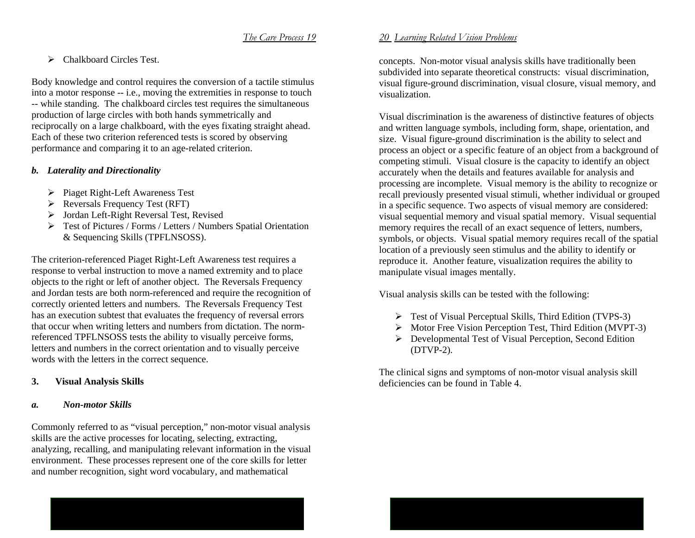$\triangleright$  Chalkboard Circles Test.

Body knowledge and control requires the conversion of a tactile stimulus into a motor response -- i.e., moving the extremities in response to touch -- while standing. The chalkboard circles test requires the simultaneous production of large circles with both hands symmetrically and reciprocally on a large chalkboard, with the eyes fixating straight ahead. Each of these two criterion referenced tests is scored by observing performance and comparing it to an age-related criterion.

# *b. Laterality and Directionality*

- ¾ Piaget Right-Left Awareness Test
- $\triangleright$  Reversals Frequency Test (RFT)
- ¾ Jordan Left-Right Reversal Test, Revised
- ¾ Test of Pictures / Forms / Letters / Numbers Spatial Orientation & Sequencing Skills (TPFLNSOSS).

The criterion-referenced Piaget Right-Left Awareness test requires a response to verbal instruction to move a named extremity and to place objects to the right or left of another object. The Reversals Frequency and Jordan tests are both norm-referenced and require the recognition of correctly oriented letters and numbers. The Reversals Frequency Test has an execution subtest that evaluates the frequency of reversal errors that occur when writing letters and numbers from dictation. The normreferenced TPFLNSOSS tests the ability to visually perceive forms, letters and numbers in the correct orientation and to visually perceive words with the letters in the correct sequence.

#### **3.Visual Analysis Skills**

# *a. Non-motor Skills*

Commonly referred to as "visual perception," non-motor visual analysis skills are the active processes for locating, selecting, extracting, analyzing, recalling, and manipulating relevant information in the visual environment. These processes represent one of the core skills for letter and number recognition, sight word vocabulary, and mathematical

# *20 Learning Related Vision Problems*

concepts. Non-motor visual analysis skills have traditionally been subdivided into separate theoretical constructs: visual discrimination, visual figure-ground discrimination, visual closure, visual memory, and visualization.

Visual discrimination is the awareness of distinctive features of objects and written language symbols, including form, shape, orientation, and size. Visual figure-ground discrimination is the ability to select and process an object or a specific feature of an object from a background of competing stimuli. Visual closure is the capacity to identify an object accurately when the details and features available for analysis and processing are incomplete. Visual memory is the ability to recognize or recall previously presented visual stimuli, whether individual or grouped in a specific sequence. Two aspects of visual memory are considered: visual sequential memory and visual spatial memory. Visual sequential memory requires the recall of an exact sequence of letters, numbers, symbols, or objects. Visual spatial memory requires recall of the spatial location of a previously seen stimulus and the ability to identify or reproduce it. Another feature, visualization requires the ability to manipulate visual images mentally.

Visual analysis skills can be tested with the following:

- ¾ Test of Visual Perceptual Skills, Third Edition (TVPS-3)
- ¾ Motor Free Vision Perception Test, Third Edition (MVPT-3)
- ¾ Developmental Test of Visual Perception, Second Edition (DTVP-2).

The clinical signs and symptoms of non-motor visual analysis skill deficiencies can be found in Table 4.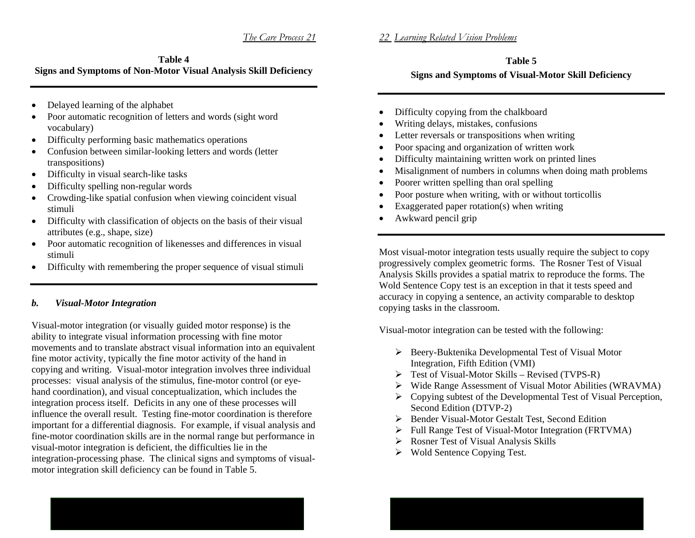# *22 Learning Related Vision Problems*

# **Table 4 Signs and Symptoms of Non-Motor Visual Analysis Skill Deficiency**

- $\bullet$ Delayed learning of the alphabet
- $\bullet$  Poor automatic recognition of letters and words (sight word vocabulary)
- •Difficulty performing basic mathematics operations
- • Confusion between similar-looking letters and words (letter transpositions)
- Difficulty in visual search-like tasks
- •Difficulty spelling non-regular words
- • Crowding-like spatial confusion when viewing coincident visual stimuli
- $\bullet$  Difficulty with classification of objects on the basis of their visual attributes (e.g., shape, size)
- $\bullet$  Poor automatic recognition of likenesses and differences in visual stimuli
- $\bullet$ Difficulty with remembering the proper sequence of visual stimuli

# *b. Visual-Motor Integration*

Visual-motor integration (or visually guided motor response) is the ability to integrate visual information processing with fine motor movements and to translate abstract visual information into an equivalent fine motor activity, typically the fine motor activity of the hand in copying and writing. Visual-motor integration involves three individual processes: visual analysis of the stimulus, fine-motor control (or eyehand coordination), and visual conceptualization, which includes the integration process itself. Deficits in any one of these processes will influence the overall result. Testing fine-motor coordination is therefore important for a differential diagnosis. For example, if visual analysis and fine-motor coordination skills are in the normal range but performance in visual-motor integration is deficient, the difficulties lie in the integration-processing phase. The clinical signs and symptoms of visualmotor integration skill deficiency can be found in Table 5.

# **Table 5 Signs and Symptoms of Visual-Motor Skill Deficiency**

- •Difficulty copying from the chalkboard
- •Writing delays, mistakes, confusions
- Letter reversals or transpositions when writing
- •Poor spacing and organization of written work
- •Difficulty maintaining written work on printed lines
- •Misalignment of numbers in columns when doing math problems
- •Poorer written spelling than oral spelling
- •Poor posture when writing, with or without torticollis
- •Exaggerated paper rotation(s) when writing
- •Awkward pencil grip

Most visual-motor integration tests usually require the subject to copy progressively complex geometric forms. The Rosner Test of Visual Analysis Skills provides a spatial matrix to reproduce the forms. The Wold Sentence Copy test is an exception in that it tests speed and accuracy in copying a sentence, an activity comparable to desktop copying tasks in the classroom.

Visual-motor integration can be tested with the following:

- ¾ Beery-Buktenika Developmental Test of Visual Motor Integration, Fifth Edition (VMI)
- $\triangleright$  Test of Visual-Motor Skills Revised (TVPS-R)
- ¾ Wide Range Assessment of Visual Motor Abilities (WRAVMA)
- $\triangleright$  Copying subtest of the Developmental Test of Visual Perception, Second Edition (DTVP-2)
- ¾ Bender Visual-Motor Gestalt Test, Second Edition
- $\blacktriangleright$ Full Range Test of Visual-Motor Integration (FRTVMA)
- $\blacktriangleright$ Rosner Test of Visual Analysis Skills
- $\triangleright$  Wold Sentence Copying Test.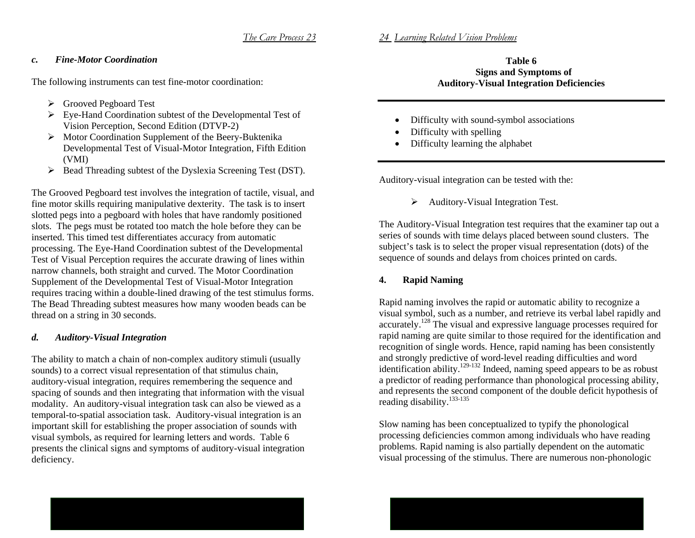# *24 Learning Related Vision Problems*

# *c. Fine-Motor Coordination*

The following instruments can test fine-motor coordination:

- ¾ Grooved Pegboard Test
- $\triangleright$  Eye-Hand Coordination subtest of the Developmental Test of Vision Perception, Second Edition (DTVP-2)
- ¾ Motor Coordination Supplement of the Beery-Buktenika Developmental Test of Visual-Motor Integration, Fifth Edition (VMI)
- $\triangleright$  Bead Threading subtest of the Dyslexia Screening Test (DST).

The Grooved Pegboard test involves the integration of tactile, visual, and fine motor skills requiring manipulative dexterity. The task is to insert slotted pegs into a pegboard with holes that have randomly positioned slots. The pegs must be rotated too match the hole before they can be inserted. This timed test differentiates accuracy from automatic processing. The Eye-Hand Coordination subtest of the Developmental Test of Visual Perception requires the accurate drawing of lines within narrow channels, both straight and curved. The Motor Coordination Supplement of the Developmental Test of Visual-Motor Integration requires tracing within a double-lined drawing of the test stimulus forms. The Bead Threading subtest measures how many wooden beads can be thread on a string in 30 seconds.

#### *d.Auditory-Visual Integration*

The ability to match a chain of non-complex auditory stimuli (usually sounds) to a correct visual representation of that stimulus chain, auditory-visual integration, requires remembering the sequence and spacing of sounds and then integrating that information with the visual modality. An auditory-visual integration task can also be viewed as a temporal-to-spatial association task. Auditory-visual integration is an important skill for establishing the proper association of sounds with visual symbols, as required for learning letters and words. Table 6 presents the clinical signs and symptoms of auditory-visual integration deficiency.

# **Table 6 Signs and Symptoms of Auditory-Visual Integration Deficiencies**

- •Difficulty with sound-symbol associations
- •Difficulty with spelling
- •Difficulty learning the alphabet

Auditory-visual integration can be tested with the:

 $\triangleright$  Auditory-Visual Integration Test.

The Auditory-Visual Integration test requires that the examiner tap out a series of sounds with time delays placed between sound clusters. The subject's task is to select the proper visual representation (dots) of the sequence of sounds and delays from choices printed on cards.

#### **4.Rapid Naming**

Rapid naming involves the rapid or automatic ability to recognize a visual symbol, such as a number, and retrieve its verbal label rapidly and accurately.128 The visual and expressive language processes required for rapid naming are quite similar to those required for the identification and recognition of single words. Hence, rapid naming has been consistently and strongly predictive of word-level reading difficulties and word identification ability.<sup>129-132</sup> Indeed, naming speed appears to be as robust a predictor of reading performance than phonological processing ability, and represents the second component of the double deficit hypothesis of reading disability. $133-135$ 

Slow naming has been conceptualized to typify the phonological processing deficiencies common among individuals who have reading problems. Rapid naming is also partially dependent on the automatic visual processing of the stimulus. There are numerous non-phonologic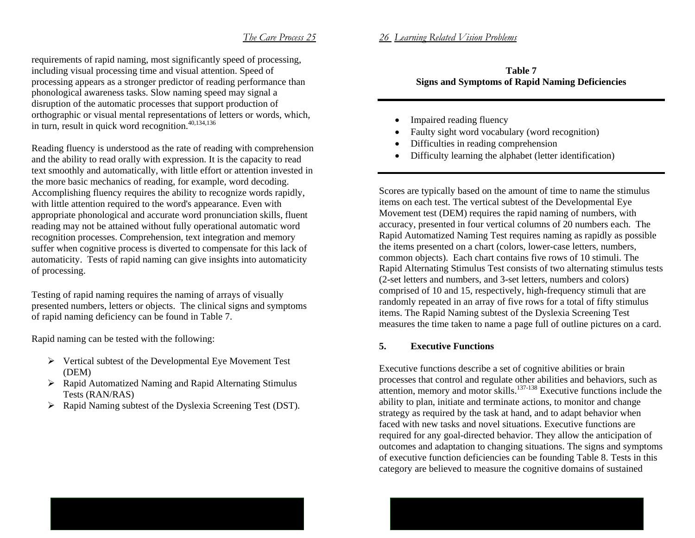requirements of rapid naming, most significantly speed of processing, including visual processing time and visual attention. Speed of processing appears as a stronger predictor of reading performance than phonological awareness tasks. Slow naming speed may signal a disruption of the automatic processes that support production of orthographic or visual mental representations of letters or words, which, in turn, result in quick word recognition. $40,134,136$ 

Reading fluency is understood as the rate of reading with comprehension and the ability to read orally with expression. It is the capacity to read text smoothly and automatically, with little effort or attention invested in the more basic mechanics of reading, for example, word decoding. Accomplishing fluency requires the ability to recognize words rapidly, with little attention required to the word's appearance. Even with appropriate phonological and accurate word pronunciation skills, fluent reading may not be attained without fully operational automatic word recognition processes. Comprehension, text integration and memory suffer when cognitive process is diverted to compensate for this lack of automaticity. Tests of rapid naming can give insights into automaticity of processing.

Testing of rapid naming requires the naming of arrays of visually presented numbers, letters or objects. The clinical signs and symptoms of rapid naming deficiency can be found in Table 7.

Rapid naming can be tested with the following:

- $\triangleright$  Vertical subtest of the Developmental Eye Movement Test (DEM)
- ¾ Rapid Automatized Naming and Rapid Alternating Stimulus Tests (RAN/RAS)
- $\triangleright$  Rapid Naming subtest of the Dyslexia Screening Test (DST).

# **Table 7 Signs and Symptoms of Rapid Naming Deficiencies**

•Impaired reading fluency

*26 Learning Related Vision Problems*

- •Faulty sight word vocabulary (word recognition)
- •Difficulties in reading comprehension
- •Difficulty learning the alphabet (letter identification)

Scores are typically based on the amount of time to name the stimulus items on each test. The vertical subtest of the Developmental Eye Movement test (DEM) requires the rapid naming of numbers, with accuracy, presented in four vertical columns of 20 numbers each. The Rapid Automatized Naming Test requires naming as rapidly as possible the items presented on a chart (colors, lower-case letters, numbers, common objects). Each chart contains five rows of 10 stimuli. The Rapid Alternating Stimulus Test consists of two alternating stimulus tests (2-set letters and numbers, and 3-set letters, numbers and colors) comprised of 10 and 15, respectively, high-frequency stimuli that are randomly repeated in an array of five rows for a total of fifty stimulus items. The Rapid Naming subtest of the Dyslexia Screening Test measures the time taken to name a page full of outline pictures on a card.

# **5. Executive Functions**

Executive functions describe a set of cognitive abilities or brain processes that control and regulate other abilities and behaviors, such as attention, memory and motor skills. $137-138$  Executive functions include the ability to plan, initiate and terminate actions, to monitor and change strategy as required by the task at hand, and to adapt behavior when faced with new tasks and novel situations. Executive functions are required for any goal-directed behavior. They allow the anticipation of outcomes and adaptation to changing situations. The signs and symptoms of executive function deficiencies can be founding Table 8. Tests in this category are believed to measure the cognitive domains of sustained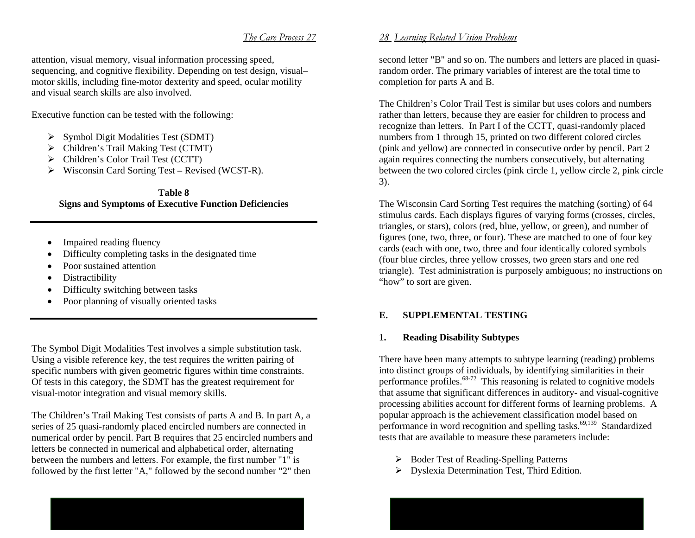attention, visual memory, visual information processing speed, sequencing, and cognitive flexibility. Depending on test design, visual– motor skills, including fine-motor dexterity and speed, ocular motility and visual search skills are also involved.

Executive function can be tested with the following:

- $\triangleright$  Symbol Digit Modalities Test (SDMT)
- ¾ Children's Trail Making Test (CTMT)
- ¾ Children's Color Trail Test (CCTT)
- $\triangleright$  Wisconsin Card Sorting Test Revised (WCST-R).

**Table 8 Signs and Symptoms of Executive Function Deficiencies** 

- •Impaired reading fluency
- •Difficulty completing tasks in the designated time
- •Poor sustained attention
- •Distractibility
- •Difficulty switching between tasks
- Poor planning of visually oriented tasks

The Symbol Digit Modalities Test involves a simple substitution task. Using a visible reference key, the test requires the written pairing of specific numbers with given geometric figures within time constraints. Of tests in this category, the SDMT has the greatest requirement for visual-motor integration and visual memory skills.

The Children's Trail Making Test consists of parts A and B. In part A, a series of 25 quasi-randomly placed encircled numbers are connected in numerical order by pencil. Part B requires that 25 encircled numbers and letters be connected in numerical and alphabetical order, alternating between the numbers and letters. For example, the first number "1" is followed by the first letter "A," followed by the second number "2" then

# *28 Learning Related Vision Problems*

second letter "B" and so on. The numbers and letters are placed in quasirandom order. The primary variables of interest are the total time to completion for parts A and B.

The Children's Color Trail Test is similar but uses colors and numbers rather than letters, because they are easier for children to process and recognize than letters. In Part I of the CCTT, quasi-randomly placed numbers from 1 through 15, printed on two different colored circles (pink and yellow) are connected in consecutive order by pencil. Part 2 again requires connecting the numbers consecutively, but alternating between the two colored circles (pink circle 1, yellow circle 2, pink circle 3).

The Wisconsin Card Sorting Test requires the matching (sorting) of 64 stimulus cards. Each displays figures of varying forms (crosses, circles, triangles, or stars), colors (red, blue, yellow, or green), and number of figures (one, two, three, or four). These are matched to one of four key cards (each with one, two, three and four identically colored symbols (four blue circles, three yellow crosses, two green stars and one red triangle). Test administration is purposely ambiguous; no instructions on "how" to sort are given.

# **E. SUPPLEMENTAL TESTING**

# **1. Reading Disability Subtypes**

There have been many attempts to subtype learning (reading) problems into distinct groups of individuals, by identifying similarities in their performance profiles.68-72 This reasoning is related to cognitive models that assume that significant differences in auditory- and visual-cognitive processing abilities account for different forms of learning problems. A popular approach is the achievement classification model based on performance in word recognition and spelling tasks.<sup>69,139</sup> Standardized tests that are available to measure these parameters include:

- ¾ Boder Test of Reading-Spelling Patterns
- $\triangleright$  Dyslexia Determination Test, Third Edition.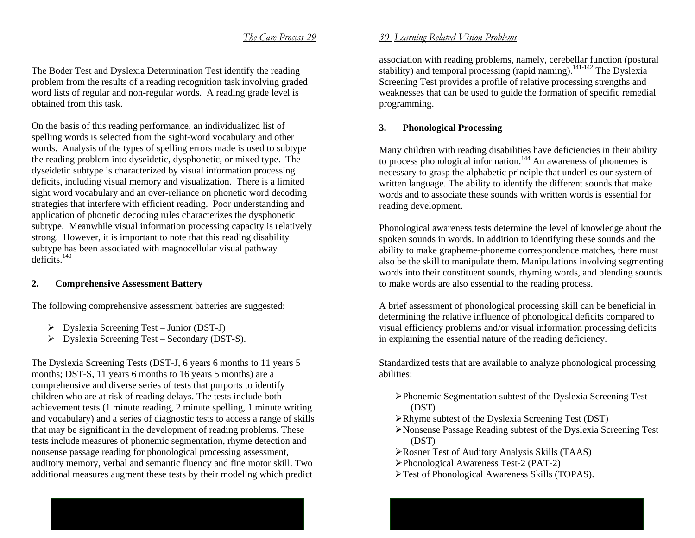The Boder Test and Dyslexia Determination Test identify the reading problem from the results of a reading recognition task involving graded word lists of regular and non-regular words. A reading grade level is obtained from this task.

On the basis of this reading performance, an individualized list of spelling words is selected from the sight-word vocabulary and other words. Analysis of the types of spelling errors made is used to subtype the reading problem into dyseidetic, dysphonetic, or mixed type. The dyseidetic subtype is characterized by visual information processing deficits, including visual memory and visualization. There is a limited sight word vocabulary and an over-reliance on phonetic word decoding strategies that interfere with efficient reading. Poor understanding and application of phonetic decoding rules characterizes the dysphonetic subtype. Meanwhile visual information processing capacity is relatively strong. However, it is important to note that this reading disability subtype has been associated with magnocellular visual pathway  $deficits.<sup>140</sup>$ 

#### **2.Comprehensive Assessment Battery**

The following comprehensive assessment batteries are suggested:

- $\triangleright$  Dyslexia Screening Test Junior (DST-J)
- $\triangleright$  Dyslexia Screening Test Secondary (DST-S).

The Dyslexia Screening Tests (DST-J, 6 years 6 months to 11 years 5 months; DST-S, 11 years 6 months to 16 years 5 months) are a comprehensive and diverse series of tests that purports to identify children who are at risk of reading delays. The tests include both achievement tests (1 minute reading, 2 minute spelling, 1 minute writing and vocabulary) and a series of diagnostic tests to access a range of skills that may be significant in the development of reading problems. These tests include measures of phonemic segmentation, rhyme detection and nonsense passage reading for phonological processing assessment, auditory memory, verbal and semantic fluency and fine motor skill. Two additional measures augment these tests by their modeling which predict

# *30 Learning Related Vision Problems*

association with reading problems, namely, cerebellar function (postural stability) and temporal processing (rapid naming).<sup>141-142</sup> The Dyslexia Screening Test provides a profile of relative processing strengths and weaknesses that can be used to guide the formation of specific remedial programming.

#### **3.Phonological Processing**

Many children with reading disabilities have deficiencies in their ability to process phonological information.<sup>144</sup> An awareness of phonemes is necessary to grasp the alphabetic principle that underlies our system of written language. The ability to identify the different sounds that make words and to associate these sounds with written words is essential for reading development.

Phonological awareness tests determine the level of knowledge about the spoken sounds in words. In addition to identifying these sounds and the ability to make grapheme-phoneme correspondence matches, there must also be the skill to manipulate them. Manipulations involving segmenting words into their constituent sounds, rhyming words, and blending sounds to make words are also essential to the reading process.

A brief assessment of phonological processing skill can be beneficial in determining the relative influence of phonological deficits compared to visual efficiency problems and/or visual information processing deficits in explaining the essential nature of the reading deficiency.

Standardized tests that are available to analyze phonological processing abilities:

- ¾Phonemic Segmentation subtest of the Dyslexia Screening Test (DST)
- ¾Rhyme subtest of the Dyslexia Screening Test (DST)
- ¾Nonsense Passage Reading subtest of the Dyslexia Screening Test (DST)
- ¾Rosner Test of Auditory Analysis Skills (TAAS)
- ¾Phonological Awareness Test-2 (PAT-2)
- ¾Test of Phonological Awareness Skills (TOPAS).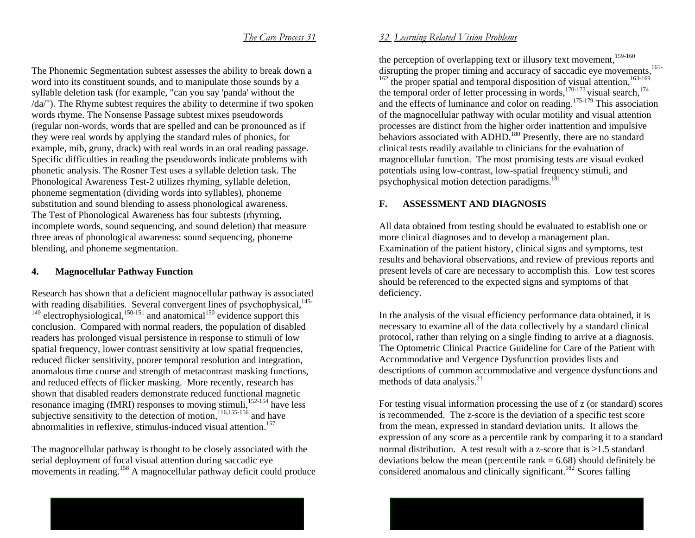The Phonemic Segmentation subtest assesses the ability to break down a word into its constituent sounds, and to manipulate those sounds by a syllable deletion task (for example, "can you say 'panda' without the /da/"). The Rhyme subtest requires the ability to determine if two spoken words rhyme. The Nonsense Passage subtest mixes pseudowords (regular non-words, words that are spelled and can be pronounced as if they were real words by applying the standard rules of phonics, for example, mib, gruny, drack) with real words in an oral reading passage. Specific difficulties in reading the pseudowords indicate problems with phonetic analysis. The Rosner Test uses a syllable deletion task. The Phonological Awareness Test-2 utilizes rhyming, syllable deletion, phoneme segmentation (dividing words into syllables), phoneme substitution and sound blending to assess phonological awareness. The Test of Phonological Awareness has four subtests (rhyming, incomplete words, sound sequencing, and sound deletion) that measure three areas of phonological awareness: sound sequencing, phoneme blending, and phoneme segmentation.

#### **4.Magnocellular Pathway Function**

Research has shown that a deficient magnocellular pathway is associated with reading disabilities. Several convergent lines of psychophysical,  $145 149$  electrophysiological,  $150-151$  and anatomical  $150$  evidence support this conclusion. Compared with normal readers, the population of disabled readers has prolonged visual persistence in response to stimuli of low spatial frequency, lower contrast sensitivity at low spatial frequencies, reduced flicker sensitivity, poorer temporal resolution and integration, anomalous time course and strength of metacontrast masking functions, and reduced effects of flicker masking. More recently, research has shown that disabled readers demonstrate reduced functional magnetic resonance imaging (fMRI) responses to moving stimuli,<sup>152-154</sup> have less subjective sensitivity to the detection of motion, $116,155-156$  and have abnormalities in reflexive, stimulus-induced visual attention.<sup>157</sup>

The magnocellular pathway is thought to be closely associated with the serial deployment of focal visual attention during saccadic eye movements in reading.<sup>158</sup> A magnocellular pathway deficit could produce

### *32 Learning Related Vision Problems*

the perception of overlapping text or illusory text movement.<sup>159-160</sup> disrupting the proper timing and accuracy of saccadic eye movements,<sup>161-</sup>  $162$  the proper spatial and temporal disposition of visual attention,  $163-169$ the temporal order of letter processing in words,<sup>170-173</sup> visual search,<sup>174</sup> and the effects of luminance and color on reading.<sup>175-179</sup> This association of the magnocellular pathway with ocular motility and visual attention processes are distinct from the higher order inattention and impulsive behaviors associated with ADHD.<sup>180</sup> Presently, there are no standard clinical tests readily available to clinicians for the evaluation of magnocellular function. The most promising tests are visual evoked potentials using low-contrast, low-spatial frequency stimuli, and psychophysical motion detection paradigms. $18$ 

# **F. ASSESSMENT AND DIAGNOSIS**

All data obtained from testing should be evaluated to establish one or more clinical diagnoses and to develop a management plan. Examination of the patient history, clinical signs and symptoms, test results and behavioral observations, and review of previous reports and present levels of care are necessary to accomplish this. Low test scores should be referenced to the expected signs and symptoms of that deficiency.

In the analysis of the visual efficiency performance data obtained, it is necessary to examine all of the data collectively by a standard clinical protocol, rather than relying on a single finding to arrive at a diagnosis. The Optometric Clinical Practice Guideline for Care of the Patient with Accommodative and Vergence Dysfunction provides lists and descriptions of common accommodative and vergence dysfunctions and methods of data analysis. $^{21}$ 

For testing visual information processing the use of z (or standard) scores is recommended. The z-score is the deviation of a specific test score from the mean, expressed in standard deviation units. It allows the expression of any score as a percentile rank by comparing it to a standard normal distribution. A test result with a z-score that is  $\geq 1.5$  standard deviations below the mean (percentile rank  $= 6.68$ ) should definitely be considered anomalous and clinically significant.182 Scores falling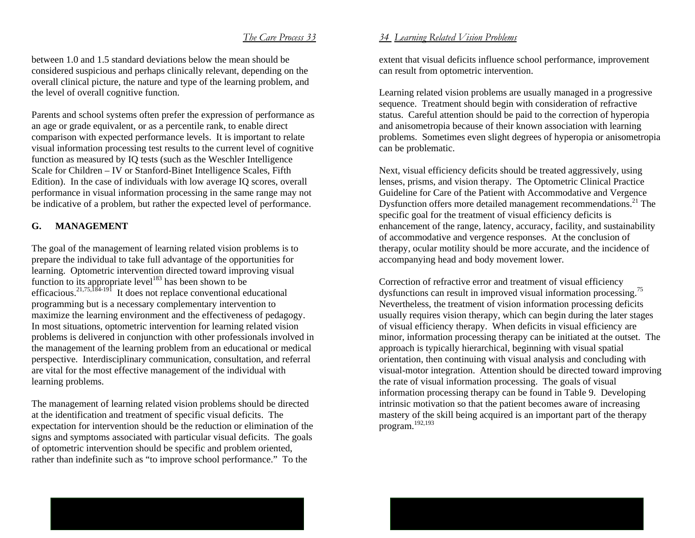between 1.0 and 1.5 standard deviations below the mean should be considered suspicious and perhaps clinically relevant, depending on the overall clinical picture, the nature and type of the learning problem, and the level of overall cognitive function.

Parents and school systems often prefer the expression of performance as an age or grade equivalent, or as a percentile rank, to enable direct comparison with expected performance levels. It is important to relate visual information processing test results to the current level of cognitive function as measured by IQ tests (such as the Weschler Intelligence Scale for Children – IV or Stanford-Binet Intelligence Scales, Fifth Edition). In the case of individuals with low average IQ scores, overall performance in visual information processing in the same range may not be indicative of a problem, but rather the expected level of performance.

# **G. MANAGEMENT**

The goal of the management of learning related vision problems is to prepare the individual to take full advantage of the opportunities for learning. Optometric intervention directed toward improving visual function to its appropriate level<sup>183</sup> has been shown to be efficacious.<sup>21,75,184-191</sup> It does not replace conventional educational programming but is a necessary complementary intervention to maximize the learning environment and the effectiveness of pedagogy. In most situations, optometric intervention for learning related vision problems is delivered in conjunction with other professionals involved in the management of the learning problem from an educational or medical perspective. Interdisciplinary communication, consultation, and referral are vital for the most effective management of the individual with learning problems.

The management of learning related vision problems should be directed at the identification and treatment of specific visual deficits. The expectation for intervention should be the reduction or elimination of the signs and symptoms associated with particular visual deficits. The goals of optometric intervention should be specific and problem oriented, rather than indefinite such as "to improve school performance." To the

### *34 Learning Related Vision Problems*

extent that visual deficits influence school performance, improvement can result from optometric intervention.

Learning related vision problems are usually managed in a progressive sequence. Treatment should begin with consideration of refractive status. Careful attention should be paid to the correction of hyperopia and anisometropia because of their known association with learning problems. Sometimes even slight degrees of hyperopia or anisometropia can be problematic.

Next, visual efficiency deficits should be treated aggressively, using lenses, prisms, and vision therapy. The Optometric Clinical Practice Guideline for Care of the Patient with Accommodative and Vergence Dysfunction offers more detailed management recommendations.<sup>21</sup> The specific goal for the treatment of visual efficiency deficits is enhancement of the range, latency, accuracy, facility, and sustainability of accommodative and vergence responses. At the conclusion of therapy, ocular motility should be more accurate, and the incidence of accompanying head and body movement lower.

Correction of refractive error and treatment of visual efficiency dysfunctions can result in improved visual information processing.<sup>75</sup> Nevertheless, the treatment of vision information processing deficits usually requires vision therapy, which can begin during the later stages of visual efficiency therapy. When deficits in visual efficiency are minor, information processing therapy can be initiated at the outset. The approach is typically hierarchical, beginning with visual spatial orientation, then continuing with visual analysis and concluding with visual-motor integration. Attention should be directed toward improving the rate of visual information processing. The goals of visual information processing therapy can be found in Table 9. Developing intrinsic motivation so that the patient becomes aware of increasing mastery of the skill being acquired is an important part of the therapy program.192,193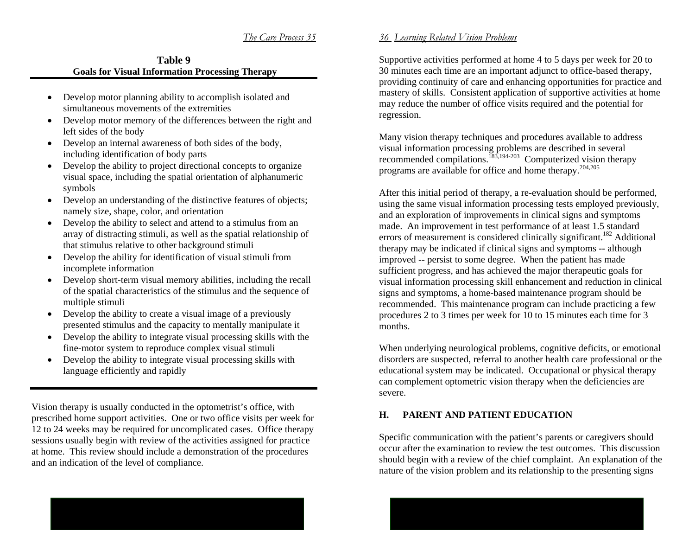# **Table 9 Goals for Visual Information Processing Therapy**

- Develop motor planning ability to accomplish isolated and simultaneous movements of the extremities
- Develop motor memory of the differences between the right and left sides of the body
- Develop an internal awareness of both sides of the body, including identification of body parts
- • Develop the ability to project directional concepts to organize visual space, including the spatial orientation of alphanumeric symbols
- • Develop an understanding of the distinctive features of objects; namely size, shape, color, and orientation
- Develop the ability to select and attend to a stimulus from an array of distracting stimuli, as well as the spatial relationship of that stimulus relative to other background stimuli
- $\bullet$  Develop the ability for identification of visual stimuli from incomplete information
- Develop short-term visual memory abilities, including the recall of the spatial characteristics of the stimulus and the sequence of multiple stimuli
- • Develop the ability to create a visual image of a previously presented stimulus and the capacity to mentally manipulate it
- Develop the ability to integrate visual processing skills with the fine-motor system to reproduce complex visual stimuli
- $\bullet$  Develop the ability to integrate visual processing skills with language efficiently and rapidly

Vision therapy is usually conducted in the optometrist's office, with prescribed home support activities. One or two office visits per week for 12 to 24 weeks may be required for uncomplicated cases. Office therapy sessions usually begin with review of the activities assigned for practice at home. This review should include a demonstration of the procedures and an indication of the level of compliance.

# *36 Learning Related Vision Problems*

Supportive activities performed at home 4 to 5 days per week for 20 to 30 minutes each time are an important adjunct to office-based therapy, providing continuity of care and enhancing opportunities for practice and mastery of skills. Consistent application of supportive activities at home may reduce the number of office visits required and the potential for regression.

Many vision therapy techniques and procedures available to address visual information processing problems are described in several recommended compilations.183,194-203 Computerized vision therapy programs are available for office and home therapy.204,205

After this initial period of therapy, a re-evaluation should be performed, using the same visual information processing tests employed previously, and an exploration of improvements in clinical signs and symptoms made. An improvement in test performance of at least 1.5 standard errors of measurement is considered clinically significant.<sup>182</sup> Additional therapy may be indicated if clinical signs and symptoms -- although improved -- persist to some degree. When the patient has made sufficient progress, and has achieved the major therapeutic goals for visual information processing skill enhancement and reduction in clinical signs and symptoms, a home-based maintenance program should be recommended. This maintenance program can include practicing a few procedures 2 to 3 times per week for 10 to 15 minutes each time for 3 months.

When underlying neurological problems, cognitive deficits, or emotional disorders are suspected, referral to another health care professional or the educational system may be indicated. Occupational or physical therapy can complement optometric vision therapy when the deficiencies are severe.

# **H. PARENT AND PATIENT EDUCATION**

Specific communication with the patient's parents or caregivers should occur after the examination to review the test outcomes. This discussion should begin with a review of the chief complaint. An explanation of the nature of the vision problem and its relationship to the presenting signs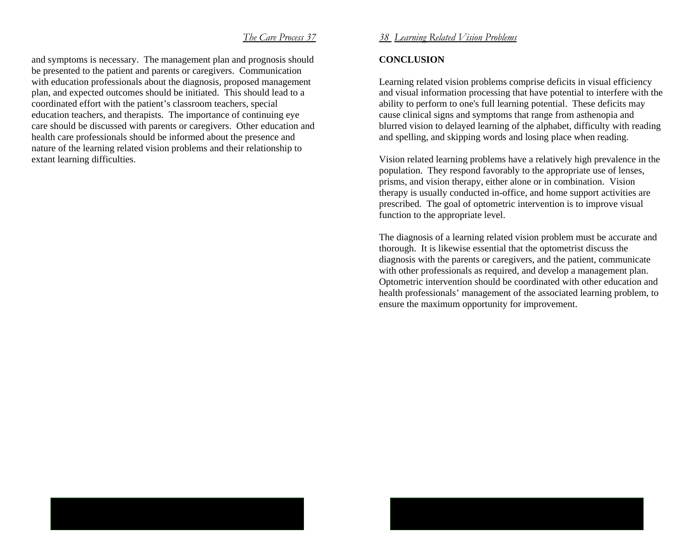and symptoms is necessary. The management plan and prognosis should be presented to the patient and parents or caregivers. Communication with education professionals about the diagnosis, proposed management plan, and expected outcomes should be initiated. This should lead to a coordinated effort with the patient's classroom teachers, special education teachers, and therapists. The importance of continuing eye care should be discussed with parents or caregivers. Other education and health care professionals should be informed about the presence and nature of the learning related vision problems and their relationship to extant learning difficulties.

# *38 Learning Related Vision Problems*

# **CONCLUSION**

Learning related vision problems comprise deficits in visual efficiency and visual information processing that have potential to interfere with the ability to perform to one's full learning potential. These deficits may cause clinical signs and symptoms that range from asthenopia and blurred vision to delayed learning of the alphabet, difficulty with reading and spelling, and skipping words and losing place when reading.

Vision related learning problems have a relatively high prevalence in the population. They respond favorably to the appropriate use of lenses, prisms, and vision therapy, either alone or in combination. Vision therapy is usually conducted in-office, and home support activities are prescribed. The goal of optometric intervention is to improve visual function to the appropriate level.

The diagnosis of a learning related vision problem must be accurate and thorough. It is likewise essential that the optometrist discuss the diagnosis with the parents or caregivers, and the patient, communicate with other professionals as required, and develop a management plan. Optometric intervention should be coordinated with other education and health professionals' management of the associated learning problem, to ensure the maximum opportunity for improvement.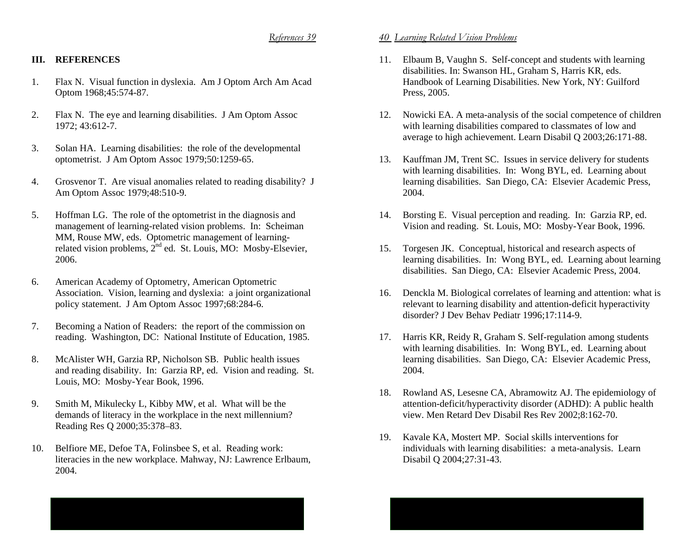# **III. REFERENCES**

- 1. Flax N. Visual function in dyslexia. Am J Optom Arch Am Acad Optom 1968;45:574-87.
- 2. Flax N. The eye and learning disabilities. J Am Optom Assoc 1972; 43:612-7.
- 3. Solan HA. Learning disabilities: the role of the developmental optometrist. J Am Optom Assoc 1979;50:1259-65.
- 4. Grosvenor T. Are visual anomalies related to reading disability? J Am Optom Assoc 1979;48:510-9.
- 5. Hoffman LG. The role of the optometrist in the diagnosis and management of learning-related vision problems. In: Scheiman MM, Rouse MW, eds. Optometric management of learningrelated vision problems,  $2^{nd}$  ed. St. Louis, MO: Mosby-Elsevier, 2006.
- 6. American Academy of Optometry, American Optometric Association. Vision, learning and dyslexia: a joint organizational policy statement. J Am Optom Assoc 1997;68:284-6.
- 7. Becoming a Nation of Readers: the report of the commission on reading. Washington, DC: National Institute of Education, 1985.
- 8. McAlister WH, Garzia RP, Nicholson SB. Public health issues and reading disability. In: Garzia RP, ed. Vision and reading. St. Louis, MO: Mosby-Year Book, 1996.
- 9. Smith M, Mikulecky L, Kibby MW, et al. What will be the demands of literacy in the workplace in the next millennium? Reading Res Q 2000;35:378–83.
- 10. Belfiore ME, Defoe TA, Folinsbee S, et al. Reading work: literacies in the new workplace. Mahway, NJ: Lawrence Erlbaum, 2004.

- 11. Elbaum B, Vaughn S. Self-concept and students with learning disabilities. In: Swanson HL, Graham S, Harris KR, eds. Handbook of Learning Disabilities. New York, NY: Guilford Press, 2005.
- 12. Nowicki EA. A meta-analysis of the social competence of children with learning disabilities compared to classmates of low and average to high achievement. Learn Disabil Q 2003;26:171-88.
- 13. Kauffman JM, Trent SC. Issues in service delivery for students with learning disabilities. In: Wong BYL, ed. Learning about learning disabilities. San Diego, CA: Elsevier Academic Press, 2004.
- 14. Borsting E. Visual perception and reading. In: Garzia RP, ed. Vision and reading. St. Louis, MO: Mosby-Year Book, 1996.
- 15. Torgesen JK. Conceptual, historical and research aspects of learning disabilities. In: Wong BYL, ed. Learning about learning disabilities. San Diego, CA: Elsevier Academic Press, 2004.
- 16. Denckla M. Biological correlates of learning and attention: what is relevant to learning disability and attention-deficit hyperactivity disorder? J Dev Behav Pediatr 1996;17:114-9.
- 17. Harris KR, Reidy R, Graham S. Self-regulation among students with learning disabilities. In: Wong BYL, ed. Learning about learning disabilities. San Diego, CA: Elsevier Academic Press, 2004.
- 18. Rowland AS, Lesesne CA, Abramowitz AJ. The epidemiology of attention-deficit/hyperactivity disorder (ADHD): A public health view. Men Retard Dev Disabil Res Rev 2002;8:162-70.
- 19. Kavale KA, Mostert MP. Social skills interventions for individuals with learning disabilities: a meta-analysis. Learn Disabil Q 2004;27:31-43.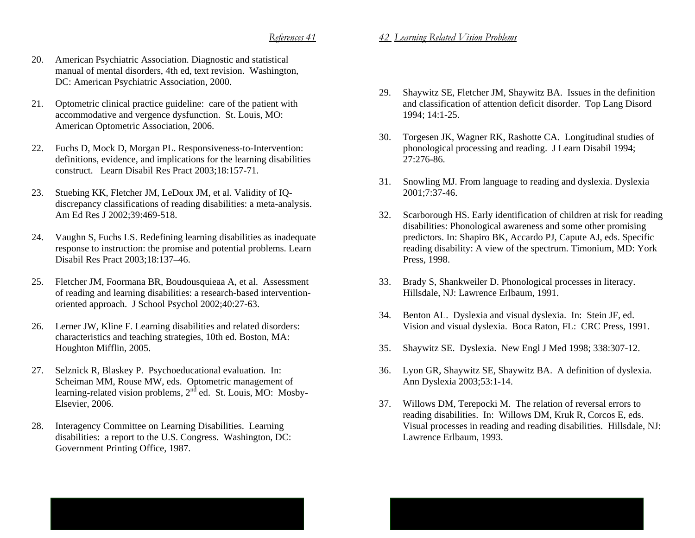- 20. American Psychiatric Association. Diagnostic and statistical manual of mental disorders, 4th ed, text revision. Washington, DC: American Psychiatric Association, 2000.
- 21. Optometric clinical practice guideline: care of the patient with accommodative and vergence dysfunction. St. Louis, MO: American Optometric Association, 2006.
- 22. Fuchs D, Mock D, Morgan PL. Responsiveness-to-Intervention: definitions, evidence, and implications for the learning disabilities construct. Learn Disabil Res Pract 2003;18:157-71.
- 23. Stuebing KK, Fletcher JM, LeDoux JM, et al. Validity of IQdiscrepancy classifications of reading disabilities: a meta-analysis. Am Ed Res J 2002;39:469-518.
- 24. Vaughn S, Fuchs LS. Redefining learning disabilities as inadequate response to instruction: the promise and potential problems. Learn Disabil Res Pract 2003;18:137–46.
- 25. Fletcher JM, Foormana BR, Boudousquieaa A, et al. Assessment of reading and learning disabilities: a research-based interventionoriented approach. J School Psychol 2002;40:27-63.
- 26. Lerner JW, Kline F. Learning disabilities and related disorders: characteristics and teaching strategies, 10th ed. Boston, MA: Houghton Mifflin, 2005.
- 27. Selznick R, Blaskey P. Psychoeducational evaluation. In: Scheiman MM, Rouse MW, eds. Optometric management of learning-related vision problems,  $2<sup>nd</sup>$  ed. St. Louis, MO: Mosby-Elsevier, 2006.
- 28. Interagency Committee on Learning Disabilities. Learning disabilities: a report to the U.S. Congress. Washington, DC: Government Printing Office, 1987.
- 29. Shaywitz SE, Fletcher JM, Shaywitz BA. Issues in the definition and classification of attention deficit disorder. Top Lang Disord 1994; 14:1-25.
- 30. Torgesen JK, Wagner RK, Rashotte CA. Longitudinal studies of phonological processing and reading. J Learn Disabil 1994; 27:276-86.
- 31. Snowling MJ. From language to reading and dyslexia. Dyslexia 2001;7:37-46.
- 32. Scarborough HS. Early identification of children at risk for reading disabilities: Phonological awareness and some other promising predictors. In: Shapiro BK, Accardo PJ, Capute AJ, eds. Specific reading disability: A view of the spectrum. Timonium, MD: York Press, 1998.
- 33. Brady S, Shankweiler D. Phonological processes in literacy. Hillsdale, NJ: Lawrence Erlbaum, 1991.
- 34. Benton AL. Dyslexia and visual dyslexia. In: Stein JF, ed. Vision and visual dyslexia. Boca Raton, FL: CRC Press, 1991.
- 35. Shaywitz SE. Dyslexia. New Engl J Med 1998; 338:307-12.
- 36. Lyon GR, Shaywitz SE, Shaywitz BA. A definition of dyslexia. Ann Dyslexia 2003;53:1-14.
- 37. Willows DM, Terepocki M. The relation of reversal errors to reading disabilities. In: Willows DM, Kruk R, Corcos E, eds. Visual processes in reading and reading disabilities. Hillsdale, NJ: Lawrence Erlbaum, 1993.

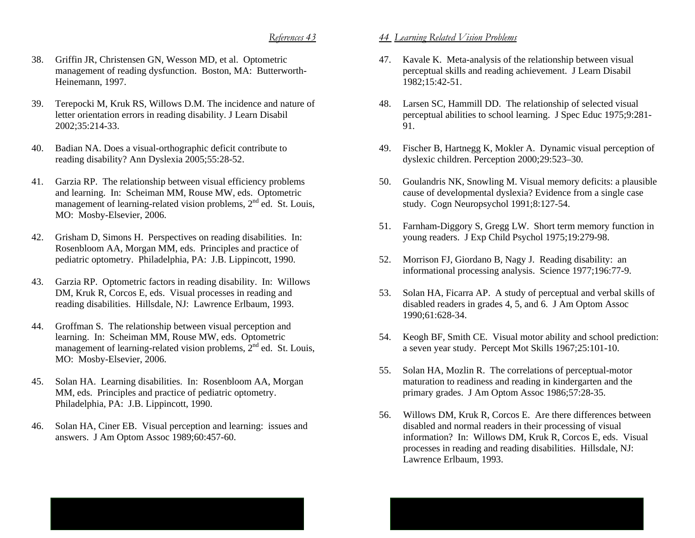- 38. Griffin JR, Christensen GN, Wesson MD, et al. Optometric management of reading dysfunction. Boston, MA: Butterworth-Heinemann, 1997.
- 39. Terepocki M, Kruk RS, Willows D.M. The incidence and nature of letter orientation errors in reading disability. J Learn Disabil 2002;35:214-33.
- 40. Badian NA. Does a visual-orthographic deficit contribute to reading disability? Ann Dyslexia 2005;55:28-52.
- 41. Garzia RP. The relationship between visual efficiency problems and learning. In: Scheiman MM, Rouse MW, eds. Optometric management of learning-related vision problems,  $2<sup>nd</sup>$  ed. St. Louis, MO: Mosby-Elsevier, 2006.
- 42. Grisham D, Simons H. Perspectives on reading disabilities. In: Rosenbloom AA, Morgan MM, eds. Principles and practice of pediatric optometry. Philadelphia, PA: J.B. Lippincott, 1990.
- 43. Garzia RP. Optometric factors in reading disability. In: Willows DM, Kruk R, Corcos E, eds. Visual processes in reading and reading disabilities. Hillsdale, NJ: Lawrence Erlbaum, 1993.
- 44. Groffman S. The relationship between visual perception and learning. In: Scheiman MM, Rouse MW, eds. Optometric management of learning-related vision problems,  $2<sup>nd</sup>$  ed. St. Louis, MO: Mosby-Elsevier, 2006.
- 45. Solan HA. Learning disabilities. In: Rosenbloom AA, Morgan MM, eds. Principles and practice of pediatric optometry. Philadelphia, PA: J.B. Lippincott, 1990.
- 46. Solan HA, Ciner EB. Visual perception and learning: issues and answers. J Am Optom Assoc 1989;60:457-60.

- 47. Kavale K. Meta-analysis of the relationship between visual perceptual skills and reading achievement. J Learn Disabil 1982;15:42-51.
- 48. Larsen SC, Hammill DD. The relationship of selected visual perceptual abilities to school learning. J Spec Educ 1975;9:281- 91.
- 49. Fischer B, Hartnegg K, Mokler A. Dynamic visual perception of dyslexic children. Perception 2000;29:523–30.
- 50. Goulandris NK, Snowling M. Visual memory deficits: a plausible cause of developmental dyslexia? Evidence from a single case study. Cogn Neuropsychol 1991;8:127-54.
- 51. Farnham-Diggory S, Gregg LW. Short term memory function in young readers. J Exp Child Psychol 1975;19:279-98.
- 52. Morrison FJ, Giordano B, Nagy J. Reading disability: an informational processing analysis. Science 1977;196:77-9.
- 53. Solan HA, Ficarra AP. A study of perceptual and verbal skills of disabled readers in grades 4, 5, and 6. J Am Optom Assoc 1990;61:628-34.
- 54. Keogh BF, Smith CE. Visual motor ability and school prediction: a seven year study. Percept Mot Skills 1967;25:101-10.
- 55. Solan HA, Mozlin R. The correlations of perceptual-motor maturation to readiness and reading in kindergarten and the primary grades. J Am Optom Assoc 1986;57:28-35.
- 56. Willows DM, Kruk R, Corcos E. Are there differences between disabled and normal readers in their processing of visual information? In: Willows DM, Kruk R, Corcos E, eds. Visual processes in reading and reading disabilities. Hillsdale, NJ: Lawrence Erlbaum, 1993.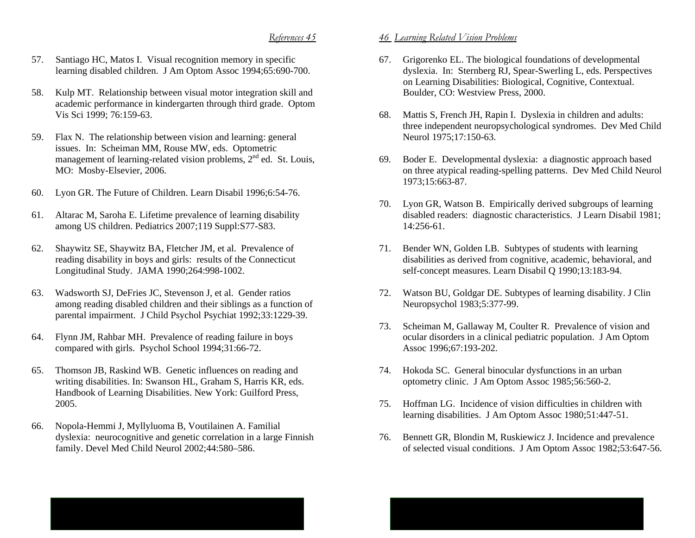- 57. Santiago HC, Matos I. Visual recognition memory in specific learning disabled children. J Am Optom Assoc 1994;65:690-700.
- 58. Kulp MT. Relationship between visual motor integration skill and academic performance in kindergarten through third grade. Optom Vis Sci 1999; 76:159-63.
- 59. Flax N. The relationship between vision and learning: general issues. In: Scheiman MM, Rouse MW, eds. Optometric management of learning-related vision problems,  $2<sup>nd</sup>$  ed. St. Louis, MO: Mosby-Elsevier, 2006.
- 60. Lyon GR. The Future of Children. Learn Disabil 1996;6:54-76.
- 61. Altarac M, Saroha E. Lifetime prevalence of learning disability among US children. Pediatrics 2007;119 Suppl:S77-S83.
- 62. Shaywitz SE, Shaywitz BA, Fletcher JM, et al. Prevalence of reading disability in boys and girls: results of the Connecticut Longitudinal Study. JAMA 1990;264:998-1002.
- 63. Wadsworth SJ, DeFries JC, Stevenson J, et al. Gender ratios among reading disabled children and their siblings as a function of parental impairment. J Child Psychol Psychiat 1992;33:1229-39.
- 64. Flynn JM, Rahbar MH. Prevalence of reading failure in boys compared with girls. Psychol School 1994;31:66-72.
- 65. Thomson JB, Raskind WB. Genetic influences on reading and writing disabilities. In: Swanson HL, Graham S, Harris KR, eds. Handbook of Learning Disabilities. New York: Guilford Press, 2005.
- 66. Nopola-Hemmi J, Myllyluoma B, Voutilainen A. Familial dyslexia: neurocognitive and genetic correlation in a large Finnish family. Devel Med Child Neurol 2002;44:580–586.

- 67. Grigorenko EL. The biological foundations of developmental dyslexia. In: Sternberg RJ, Spear-Swerling L, eds. Perspectives on Learning Disabilities: Biological, Cognitive, Contextual. Boulder, CO: Westview Press, 2000.
- 68. Mattis S, French JH, Rapin I. Dyslexia in children and adults: three independent neuropsychological syndromes. Dev Med Child Neurol 1975:17:150-63.
- 69. Boder E. Developmental dyslexia: a diagnostic approach based on three atypical reading-spelling patterns. Dev Med Child Neurol 1973;15:663-87.
- 70. Lyon GR, Watson B. Empirically derived subgroups of learning disabled readers: diagnostic characteristics. J Learn Disabil 1981; 14:256-61.
- 71. Bender WN, Golden LB. Subtypes of students with learning disabilities as derived from cognitive, academic, behavioral, and self-concept measures. Learn Disabil Q 1990;13:183-94.
- 72. Watson BU, Goldgar DE. Subtypes of learning disability. J Clin Neuropsychol 1983;5:377-99.
- 73. Scheiman M, Gallaway M, Coulter R. Prevalence of vision and ocular disorders in a clinical pediatric population. J Am Optom Assoc 1996;67:193-202.
- 74. Hokoda SC. General binocular dysfunctions in an urban optometry clinic. J Am Optom Assoc 1985;56:560-2.
- 75. Hoffman LG. Incidence of vision difficulties in children with learning disabilities. J Am Optom Assoc 1980;51:447-51.
- 76. Bennett GR, Blondin M, Ruskiewicz J. Incidence and prevalence of selected visual conditions. J Am Optom Assoc 1982;53:647-56.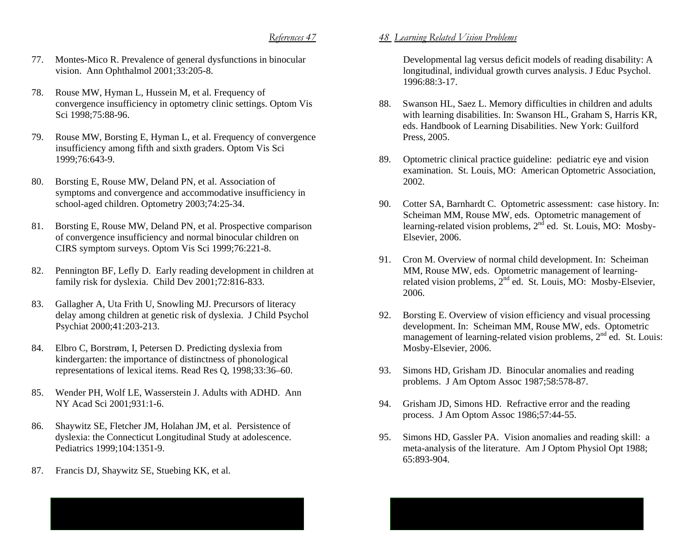- 77. Montes-Mico R. Prevalence of general dysfunctions in binocular vision. Ann Ophthalmol 2001;33:205-8.
- 78. Rouse MW, Hyman L, Hussein M, et al. Frequency of convergence insufficiency in optometry clinic settings. Optom Vis Sci 1998;75:88-96.
- 79. Rouse MW, Borsting E, Hyman L, et al. Frequency of convergence insufficiency among fifth and sixth graders. Optom Vis Sci 1999;76:643-9.
- 80. Borsting E, Rouse MW, Deland PN, et al. Association of symptoms and convergence and accommodative insufficiency in school-aged children. Optometry 2003;74:25-34.
- 81. Borsting E, Rouse MW, Deland PN, et al. Prospective comparison of convergence insufficiency and normal binocular children on CIRS symptom surveys. Optom Vis Sci 1999;76:221-8.
- 82. Pennington BF, Lefly D. Early reading development in children at family risk for dyslexia. Child Dev 2001;72:816-833.
- 83. Gallagher A, Uta Frith U, Snowling MJ. Precursors of literacy delay among children at genetic risk of dyslexia. J Child Psychol Psychiat 2000;41:203-213.
- 84. Elbro C, Borstrøm, I, Petersen D. Predicting dyslexia from kindergarten: the importance of distinctness of phonological representations of lexical items. Read Res Q, 1998;33:36–60.
- 85. Wender PH, Wolf LE, Wasserstein J. Adults with ADHD. Ann NY Acad Sci 2001;931:1-6.
- 86. Shaywitz SE, Fletcher JM, Holahan JM, et al. Persistence of dyslexia: the Connecticut Longitudinal Study at adolescence. Pediatrics 1999;104:1351-9.
- 87. Francis DJ, Shaywitz SE, Stuebing KK, et al.

### *48 Learning Related Vision Problems*

Developmental lag versus deficit models of reading disability: A longitudinal, individual growth curves analysis. J Educ Psychol. 1996:88:3-17.

- 88. Swanson HL, Saez L. Memory difficulties in children and adults with learning disabilities. In: Swanson HL, Graham S, Harris KR, eds. Handbook of Learning Disabilities. New York: Guilford Press, 2005.
- 89. Optometric clinical practice guideline: pediatric eye and vision examination. St. Louis, MO: American Optometric Association, 2002.
- 90. Cotter SA, Barnhardt C. Optometric assessment: case history. In: Scheiman MM, Rouse MW, eds. Optometric management of learning-related vision problems,  $2<sup>n\overline{d}</sup>$  ed. St. Louis, MO: Mosby-Elsevier, 2006.
- 91. Cron M. Overview of normal child development. In: Scheiman MM, Rouse MW, eds. Optometric management of learningrelated vision problems,  $2^{nd}$  ed. St. Louis, MO: Mosby-Elsevier, 2006.
- 92. Borsting E. Overview of vision efficiency and visual processing development. In: Scheiman MM, Rouse MW, eds. Optometric management of learning-related vision problems,  $2<sup>nd</sup>$  ed. St. Louis: Mosby-Elsevier, 2006.
- 93. Simons HD, Grisham JD. Binocular anomalies and reading problems. J Am Optom Assoc 1987;58:578-87.
- 94. Grisham JD, Simons HD. Refractive error and the reading process. J Am Optom Assoc 1986;57:44-55.
- 95. Simons HD, Gassler PA. Vision anomalies and reading skill: a meta-analysis of the literature. Am J Optom Physiol Opt 1988; 65:893-904.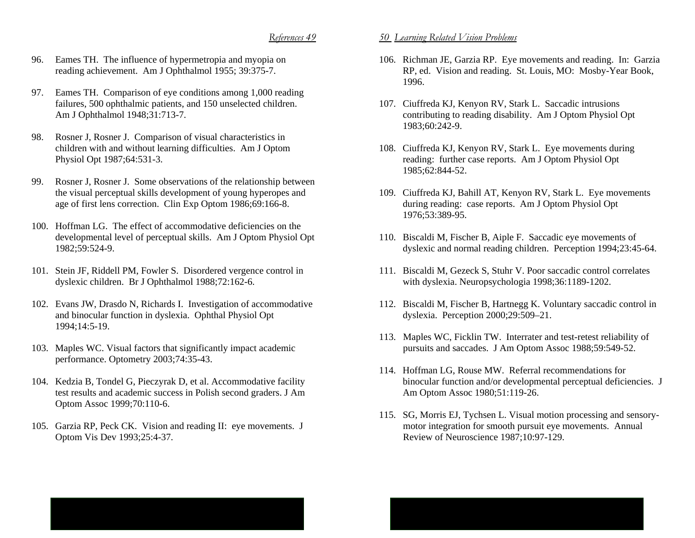- 96. Eames TH. The influence of hypermetropia and myopia on reading achievement. Am J Ophthalmol 1955; 39:375-7.
- 97. Eames TH. Comparison of eye conditions among 1,000 reading failures, 500 ophthalmic patients, and 150 unselected children. Am J Ophthalmol 1948;31:713-7.
- 98. Rosner J, Rosner J. Comparison of visual characteristics in children with and without learning difficulties. Am J Optom Physiol Opt 1987;64:531-3.
- 99. Rosner J, Rosner J. Some observations of the relationship between the visual perceptual skills development of young hyperopes and age of first lens correction. Clin Exp Optom 1986;69:166-8.
- 100. Hoffman LG. The effect of accommodative deficiencies on the developmental level of perceptual skills. Am J Optom Physiol Opt 1982;59:524-9.
- 101. Stein JF, Riddell PM, Fowler S. Disordered vergence control in dyslexic children. Br J Ophthalmol 1988;72:162-6.
- 102. Evans JW, Drasdo N, Richards I. Investigation of accommodative and binocular function in dyslexia. Ophthal Physiol Opt 1994;14:5-19.
- 103. Maples WC. Visual factors that significantly impact academic performance. Optometry 2003;74:35-43.
- 104. Kedzia B, Tondel G, Pieczyrak D, et al. Accommodative facility test results and academic success in Polish second graders. J Am Optom Assoc 1999;70:110-6.
- 105. Garzia RP, Peck CK. Vision and reading II: eye movements. J Optom Vis Dev 1993;25:4-37.

- 106. Richman JE, Garzia RP. Eye movements and reading. In: Garzia RP, ed. Vision and reading. St. Louis, MO: Mosby-Year Book, 1996.
- 107. Ciuffreda KJ, Kenyon RV, Stark L. Saccadic intrusions contributing to reading disability. Am J Optom Physiol Opt 1983;60:242-9.
- 108. Ciuffreda KJ, Kenyon RV, Stark L. Eye movements during reading: further case reports. Am J Optom Physiol Opt 1985;62:844-52.
- 109. Ciuffreda KJ, Bahill AT, Kenyon RV, Stark L. Eye movements during reading: case reports. Am J Optom Physiol Opt 1976;53:389-95.
- 110. Biscaldi M, Fischer B, Aiple F. Saccadic eye movements of dyslexic and normal reading children. Perception 1994;23:45-64.
- 111. Biscaldi M, Gezeck S, Stuhr V. Poor saccadic control correlates with dyslexia. Neuropsychologia 1998;36:1189-1202.
- 112. Biscaldi M, Fischer B, Hartnegg K. Voluntary saccadic control in dyslexia. Perception 2000;29:509–21.
- 113. Maples WC, Ficklin TW. Interrater and test-retest reliability of pursuits and saccades. J Am Optom Assoc 1988;59:549-52.
- 114. Hoffman LG, Rouse MW. Referral recommendations for binocular function and/or developmental perceptual deficiencies. J Am Optom Assoc 1980;51:119-26.
- 115. SG, Morris EJ, Tychsen L. Visual motion processing and sensorymotor integration for smooth pursuit eye movements. Annual Review of Neuroscience 1987;10:97-129.

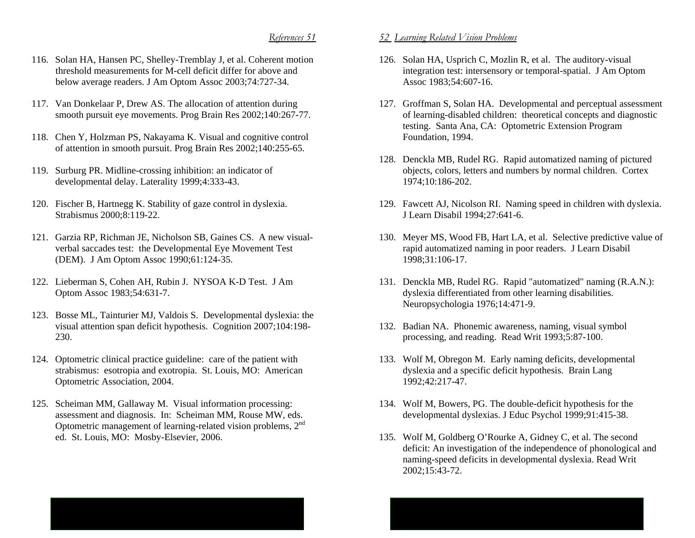- 116. Solan HA, Hansen PC, Shelley-Tremblay J, et al. Coherent motion threshold measurements for M-cell deficit differ for above and below average readers. J Am Optom Assoc 2003;74:727-34.
- 117. Van Donkelaar P, Drew AS. The allocation of attention during smooth pursuit eye movements. Prog Brain Res 2002;140:267-77.
- 118. Chen Y, Holzman PS, Nakayama K. Visual and cognitive control of attention in smooth pursuit. Prog Brain Res 2002;140:255-65.
- 119. Surburg PR. Midline-crossing inhibition: an indicator of developmental delay. Laterality 1999;4:333-43.
- 120. Fischer B, Hartnegg K. Stability of gaze control in dyslexia. Strabismus 2000;8:119-22.
- 121. Garzia RP, Richman JE, Nicholson SB, Gaines CS. A new visualverbal saccades test: the Developmental Eye Movement Test (DEM). J Am Optom Assoc 1990;61:124-35.
- 122. Lieberman S, Cohen AH, Rubin J. NYSOA K-D Test. J Am Optom Assoc 1983;54:631-7.
- 123. Bosse ML, Tainturier MJ, Valdois S. Developmental dyslexia: the visual attention span deficit hypothesis. Cognition 2007;104:198- 230.
- 124. Optometric clinical practice guideline: care of the patient with strabismus: esotropia and exotropia. St. Louis, MO: American Optometric Association, 2004.
- 125. Scheiman MM, Gallaway M. Visual information processing: assessment and diagnosis. In: Scheiman MM, Rouse MW, eds. Optometric management of learning-related vision problems, 2n<sup>d</sup> ed. St. Louis, MO: Mosby-Elsevier, 2006.

- 126. Solan HA, Usprich C, Mozlin R, et al. The auditory-visual integration test: intersensory or temporal-spatial. J Am Optom Assoc 1983;54:607-16.
- 127. Groffman S, Solan HA. Developmental and perceptual assessment of learning-disabled children: theoretical concepts and diagnostic testing. Santa Ana, CA: Optometric Extension Program Foundation, 1994.
- 128. Denckla MB, Rudel RG. Rapid automatized naming of pictured objects, colors, letters and numbers by normal children. Cortex 1974;10:186-202.
- 129. Fawcett AJ, Nicolson RI. Naming speed in children with dyslexia. J Learn Disabil 1994;27:641-6.
- 130. Meyer MS, Wood FB, Hart LA, et al. Selective predictive value of rapid automatized naming in poor readers. J Learn Disabil 1998;31:106-17.
- 131. Denckla MB, Rudel RG. Rapid "automatized" naming (R.A.N.): dyslexia differentiated from other learning disabilities. Neuropsychologia 1976;14:471-9.
- 132. Badian NA. Phonemic awareness, naming, visual symbol processing, and reading. Read Writ 1993;5:87-100.
- 133. Wolf M, Obregon M. Early naming deficits, developmental dyslexia and a specific deficit hypothesis. Brain Lang 1992;42:217-47.
- 134. Wolf M, Bowers, PG. The double-deficit hypothesis for the developmental dyslexias. J Educ Psychol 1999;91:415-38.
- 135. Wolf M, Goldberg O'Rourke A, Gidney C, et al. The second deficit: An investigation of the independence of phonological and naming-speed deficits in developmental dyslexia. Read Writ 2002;15:43-72.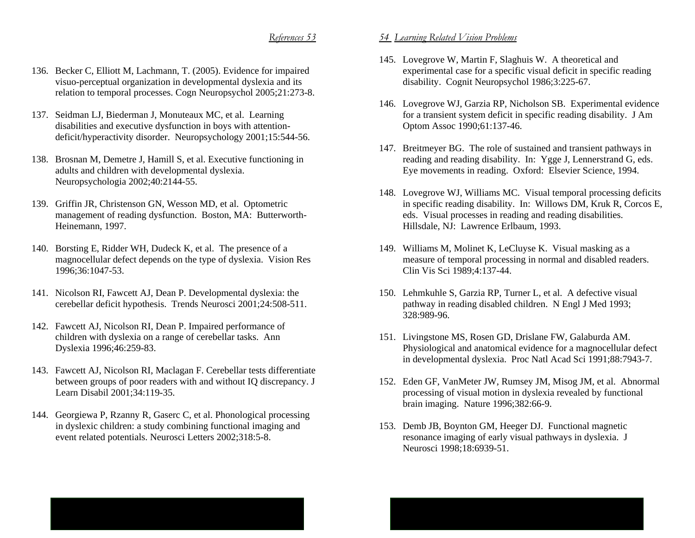- 136. Becker C, Elliott M, Lachmann, T. (2005). Evidence for impaired visuo-perceptual organization in developmental dyslexia and its relation to temporal processes. Cogn Neuropsychol 2005;21:273-8.
- 137. Seidman LJ, Biederman J, Monuteaux MC, et al. Learning disabilities and executive dysfunction in boys with attentiondeficit/hyperactivity disorder. Neuropsychology 2001;15:544-56.
- 138. Brosnan M, Demetre J, Hamill S, et al. Executive functioning in adults and children with developmental dyslexia. Neuropsychologia 2002;40:2144-55.
- 139. Griffin JR, Christenson GN, Wesson MD, et al. Optometric management of reading dysfunction. Boston, MA: Butterworth-Heinemann, 1997.
- 140. Borsting E, Ridder WH, Dudeck K, et al. The presence of a magnocellular defect depends on the type of dyslexia. Vision Res 1996;36:1047-53.
- 141. Nicolson RI, Fawcett AJ, Dean P. Developmental dyslexia: the cerebellar deficit hypothesis. Trends Neurosci 2001;24:508-511.
- 142. Fawcett AJ, Nicolson RI, Dean P. Impaired performance of children with dyslexia on a range of cerebellar tasks. Ann Dyslexia 1996;46:259-83.
- 143. Fawcett AJ, Nicolson RI, Maclagan F. Cerebellar tests differentiate between groups of poor readers with and without IQ discrepancy. J Learn Disabil 2001;34:119-35.
- 144. Georgiewa P, Rzanny R, Gaserc C, et al. Phonological processing in dyslexic children: a study combining functional imaging and event related potentials. Neurosci Letters 2002;318:5-8.

- 145. Lovegrove W, Martin F, Slaghuis W. A theoretical and experimental case for a specific visual deficit in specific reading disability. Cognit Neuropsychol 1986;3:225-67.
- 146. Lovegrove WJ, Garzia RP, Nicholson SB. Experimental evidence for a transient system deficit in specific reading disability. J Am Optom Assoc 1990;61:137-46.
- 147. Breitmeyer BG. The role of sustained and transient pathways in reading and reading disability. In: Ygge J, Lennerstrand G, eds. Eye movements in reading. Oxford: Elsevier Science, 1994.
- 148. Lovegrove WJ, Williams MC. Visual temporal processing deficits in specific reading disability. In: Willows DM, Kruk R, Corcos E, eds. Visual processes in reading and reading disabilities. Hillsdale, NJ: Lawrence Erlbaum, 1993.
- 149. Williams M, Molinet K, LeCluyse K. Visual masking as a measure of temporal processing in normal and disabled readers. Clin Vis Sci 1989;4:137-44.
- 150. Lehmkuhle S, Garzia RP, Turner L, et al. A defective visual pathway in reading disabled children. N Engl J Med 1993; 328:989-96.
- 151. Livingstone MS, Rosen GD, Drislane FW, Galaburda AM. Physiological and anatomical evidence for a magnocellular defect in developmental dyslexia. Proc Natl Acad Sci 1991;88:7943-7.
- 152. Eden GF, VanMeter JW, Rumsey JM, Misog JM, et al. Abnormal processing of visual motion in dyslexia revealed by functional brain imaging. Nature 1996;382:66-9.
- 153. Demb JB, Boynton GM, Heeger DJ. Functional magnetic resonance imaging of early visual pathways in dyslexia. J Neurosci 1998;18:6939-51.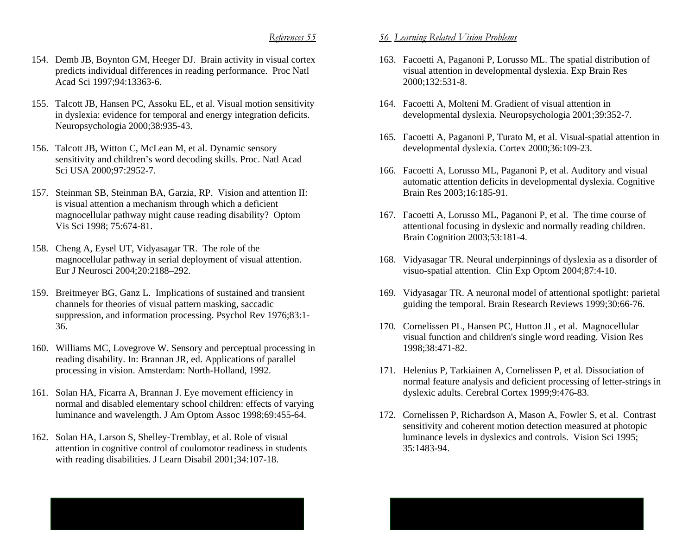- 154. Demb JB, Boynton GM, Heeger DJ. Brain activity in visual cortex predicts individual differences in reading performance. Proc Natl Acad Sci 1997;94:13363-6.
- 155. Talcott JB, Hansen PC, Assoku EL, et al. Visual motion sensitivity in dyslexia: evidence for temporal and energy integration deficits. Neuropsychologia 2000;38:935-43.
- 156. Talcott JB, Witton C, McLean M, et al. Dynamic sensory sensitivity and children's word decoding skills. Proc. Natl Acad Sci USA 2000;97:2952-7.
- 157. Steinman SB, Steinman BA, Garzia, RP. Vision and attention II: is visual attention a mechanism through which a deficient magnocellular pathway might cause reading disability? Optom Vis Sci 1998; 75:674-81.
- 158. Cheng A, Eysel UT, Vidyasagar TR. The role of the magnocellular pathway in serial deployment of visual attention. Eur J Neurosci 2004;20:2188–292.
- 159. Breitmeyer BG, Ganz L. Implications of sustained and transient channels for theories of visual pattern masking, saccadic suppression, and information processing. Psychol Rev 1976;83:1- 36.
- 160. Williams MC, Lovegrove W. Sensory and perceptual processing in reading disability. In: Brannan JR, ed. Applications of parallel processing in vision. Amsterdam: North-Holland, 1992.
- 161. Solan HA, Ficarra A, Brannan J. Eye movement efficiency in normal and disabled elementary school children: effects of varying luminance and wavelength. J Am Optom Assoc 1998;69:455-64.
- 162. Solan HA, Larson S, Shelley-Tremblay, et al. Role of visual attention in cognitive control of coulomotor readiness in students with reading disabilities. J Learn Disabil 2001;34:107-18.

- 163. Facoetti A, Paganoni P, Lorusso ML. The spatial distribution of visual attention in developmental dyslexia. Exp Brain Res 2000;132:531-8.
- 164. Facoetti A, Molteni M. Gradient of visual attention in developmental dyslexia. Neuropsychologia 2001;39:352-7.
- 165. Facoetti A, Paganoni P, Turato M, et al. Visual-spatial attention in developmental dyslexia. Cortex 2000;36:109-23.
- 166. Facoetti A, Lorusso ML, Paganoni P, et al. Auditory and visual automatic attention deficits in developmental dyslexia. Cognitive Brain Res 2003;16:185-91.
- 167. Facoetti A, Lorusso ML, Paganoni P, et al. The time course of attentional focusing in dyslexic and normally reading children. Brain Cognition 2003;53:181-4.
- 168. Vidyasagar TR. Neural underpinnings of dyslexia as a disorder of visuo-spatial attention. Clin Exp Optom 2004;87:4-10.
- 169. Vidyasagar TR. A neuronal model of attentional spotlight: parietal guiding the temporal. Brain Research Reviews 1999;30:66-76.
- 170. Cornelissen PL, Hansen PC, Hutton JL, et al. Magnocellular visual function and children's single word reading. Vision Res 1998;38:471-82.
- 171. Helenius P, Tarkiainen A, Cornelissen P, et al. Dissociation of normal feature analysis and deficient processing of letter-strings in dyslexic adults. Cerebral Cortex 1999;9:476-83.
- 172. Cornelissen P, Richardson A, Mason A, Fowler S, et al. Contrast sensitivity and coherent motion detection measured at photopic luminance levels in dyslexics and controls. Vision Sci 1995; 35:1483-94.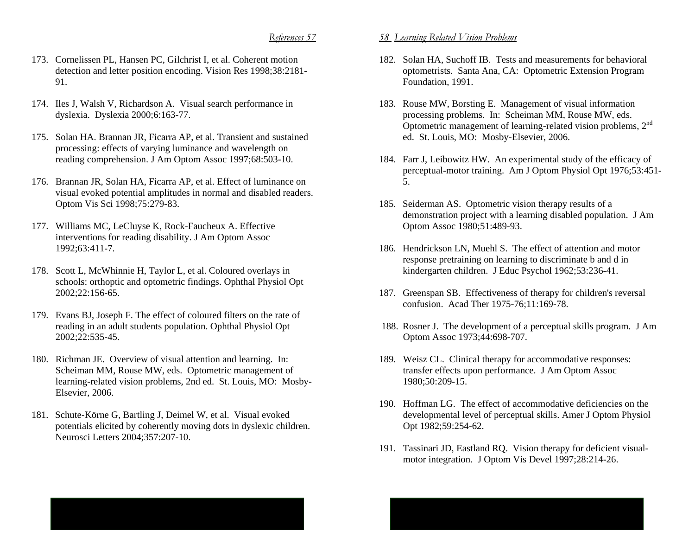- 173. Cornelissen PL, Hansen PC, Gilchrist I, et al. Coherent motion detection and letter position encoding. Vision Res 1998;38:2181- 91.
- 174. Iles J, Walsh V, Richardson A. Visual search performance in dyslexia. Dyslexia 2000;6:163-77.
- 175. Solan HA. Brannan JR, Ficarra AP, et al. Transient and sustained processing: effects of varying luminance and wavelength on reading comprehension. J Am Optom Assoc 1997;68:503-10.
- 176. Brannan JR, Solan HA, Ficarra AP, et al. Effect of luminance on visual evoked potential amplitudes in normal and disabled readers. Optom Vis Sci 1998;75:279-83.
- 177. Williams MC, LeCluyse K, Rock-Faucheux A. Effective interventions for reading disability. J Am Optom Assoc 1992;63:411-7.
- 178. Scott L, McWhinnie H, Taylor L, et al. Coloured overlays in schools: orthoptic and optometric findings. Ophthal Physiol Opt 2002;22:156-65.
- 179. Evans BJ, Joseph F. The effect of coloured filters on the rate of reading in an adult students population. Ophthal Physiol Opt 2002;22:535-45.
- 180. Richman JE. Overview of visual attention and learning. In: Scheiman MM, Rouse MW, eds. Optometric management of learning-related vision problems, 2nd ed. St. Louis, MO: Mosby-Elsevier, 2006.
- 181. Schute-Körne G, Bartling J, Deimel W, et al. Visual evoked potentials elicited by coherently moving dots in dyslexic children. Neurosci Letters 2004;357:207-10.

- 182. Solan HA, Suchoff IB. Tests and measurements for behavioral optometrists. Santa Ana, CA: Optometric Extension Program Foundation, 1991.
- 183. Rouse MW, Borsting E. Management of visual information processing problems. In: Scheiman MM, Rouse MW, eds. Optometric management of learning-related vision problems, 2n<sup>d</sup> ed. St. Louis, MO: Mosby-Elsevier, 2006.
- 184. Farr J, Leibowitz HW. An experimental study of the efficacy of perceptual-motor training. Am J Optom Physiol Opt 1976;53:451- 5.
- 185. Seiderman AS. Optometric vision therapy results of a demonstration project with a learning disabled population. J Am Optom Assoc 1980;51:489-93.
- 186. Hendrickson LN, Muehl S. The effect of attention and motor response pretraining on learning to discriminate b and d in kindergarten children. J Educ Psychol 1962;53:236-41.
- 187. Greenspan SB. Effectiveness of therapy for children's reversal confusion. Acad Ther 1975-76;11:169-78.
- 188. Rosner J. The development of a perceptual skills program. J Am Optom Assoc 1973;44:698-707.
- 189. Weisz CL. Clinical therapy for accommodative responses: transfer effects upon performance. J Am Optom Assoc 1980;50:209-15.
- 190. Hoffman LG. The effect of accommodative deficiencies on the developmental level of perceptual skills. Amer J Optom Physiol Opt 1982;59:254-62.
- 191. Tassinari JD, Eastland RQ. Vision therapy for deficient visualmotor integration. J Optom Vis Devel 1997;28:214-26.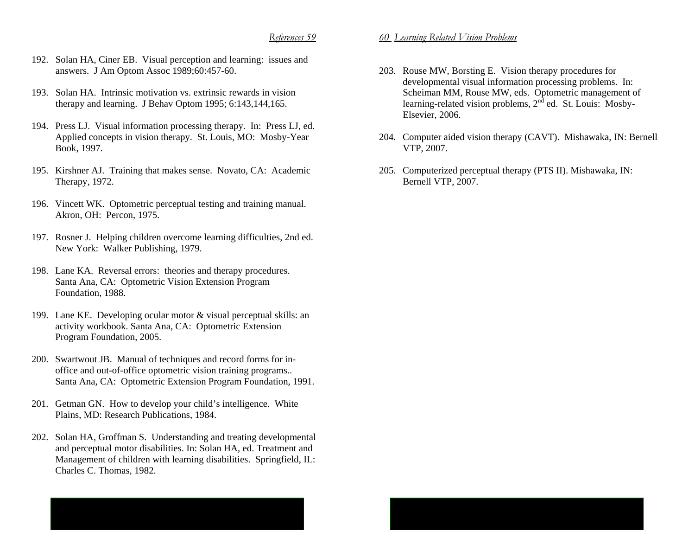- 192. Solan HA, Ciner EB. Visual perception and learning: issues and answers. J Am Optom Assoc 1989;60:457-60.
- 193. Solan HA. Intrinsic motivation vs. extrinsic rewards in vision therapy and learning. J Behav Optom 1995; 6:143,144,165.
- 194. Press LJ. Visual information processing therapy. In: Press LJ, ed. Applied concepts in vision therapy. St. Louis, MO: Mosby-Year Book, 1997.
- 195. Kirshner AJ. Training that makes sense. Novato, CA: Academic Therapy, 1972.
- 196. Vincett WK. Optometric perceptual testing and training manual. Akron, OH: Percon, 1975.
- 197. Rosner J. Helping children overcome learning difficulties, 2nd ed. New York: Walker Publishing, 1979.
- 198. Lane KA. Reversal errors: theories and therapy procedures. Santa Ana, CA: Optometric Vision Extension Program Foundation, 1988.
- 199. Lane KE. Developing ocular motor & visual perceptual skills: an activity workbook. Santa Ana, CA: Optometric Extension Program Foundation, 2005.
- 200. Swartwout JB. Manual of techniques and record forms for inoffice and out-of-office optometric vision training programs.. Santa Ana, CA: Optometric Extension Program Foundation, 1991.
- 201. Getman GN. How to develop your child's intelligence. White Plains, MD: Research Publications, 1984.
- 202. Solan HA, Groffman S. Understanding and treating developmental and perceptual motor disabilities. In: Solan HA, ed. Treatment and Management of children with learning disabilities. Springfield, IL: Charles C. Thomas, 1982.
- 203. Rouse MW, Borsting E. Vision therapy procedures for developmental visual information processing problems. In: Scheiman MM, Rouse MW, eds. Optometric management of learning-related vision problems,  $2<sup>nd</sup>$  ed. St. Louis: Mosby-Elsevier, 2006.
- 204. Computer aided vision therapy (CAVT). Mishawaka, IN: Bernell VTP, 2007.
- 205. Computerized perceptual therapy (PTS II). Mishawaka, IN: Bernell VTP, 2007.

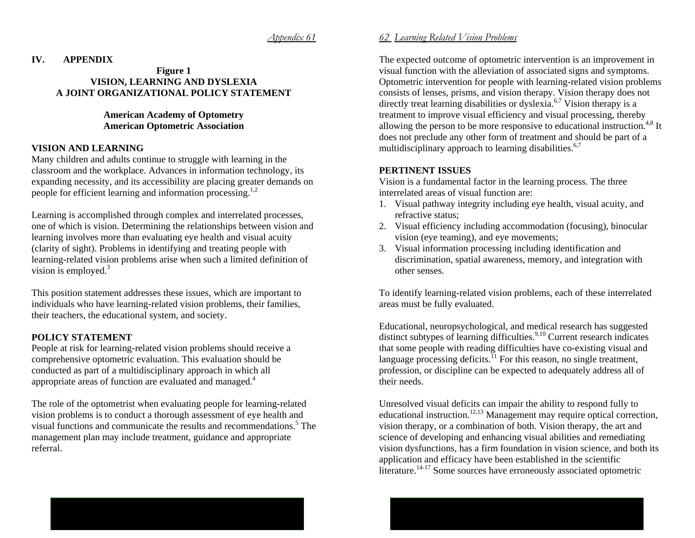#### *Appendix 61*

#### **IV. APPENDIX**

### **Figure 1 VISION, LEARNING AND DYSLEXIA A JOINT ORGANIZATIONAL POLICY STATEMENT**

### **American Academy of Optometry American Optometric Association**

### **VISION AND LEARNING**

Many children and adults continue to struggle with learning in the classroom and the workplace. Advances in information technology, its expanding necessity, and its accessibility are placing greater demands on people for efficient learning and information processing.<sup>1,2</sup>

Learning is accomplished through complex and interrelated processes, one of which is vision. Determining the relationships between vision and learning involves more than evaluating eye health and visual acuity (clarity of sight). Problems in identifying and treating people with learning-related vision problems arise when such a limited definition of vision is employed. $3$ 

This position statement addresses these issues, which are important to individuals who have learning-related vision problems, their families, their teachers, the educational system, and society.

# **POLICY STATEMENT**

People at risk for learning-related vision problems should receive a comprehensive optometric evaluation. This evaluation should be conducted as part of a multidisciplinary approach in which all appropriate areas of function are evaluated and managed.<sup>4</sup>

The role of the optometrist when evaluating people for learning-related vision problems is to conduct a thorough assessment of eye health and visual functions and communicate the results and recommendations.<sup>5</sup> The management plan may include treatment, guidance and appropriate referral.

# *62 Learning Related Vision Problems*

The expected outcome of optometric intervention is an improvement in visual function with the alleviation of associated signs and symptoms. Optometric intervention for people with learning-related vision problems consists of lenses, prisms, and vision therapy. Vision therapy does not directly treat learning disabilities or dyslexia.<sup>6,7</sup> Vision therapy is a treatment to improve visual efficiency and visual processing, thereby allowing the person to be more responsive to educational instruction.<sup>4,8</sup> It does not preclude any other form of treatment and should be part of a multidisciplinary approach to learning disabilities. $6,7$ 

#### **PERTINENT ISSUES**

Vision is a fundamental factor in the learning process. The three interrelated areas of visual function are:

- 1. Visual pathway integrity including eye health, visual acuity, and refractive status;
- 2. Visual efficiency including accommodation (focusing), binocular vision (eye teaming), and eye movements;
- 3. Visual information processing including identification and discrimination, spatial awareness, memory, and integration with other senses.

To identify learning-related vision problems, each of these interrelated areas must be fully evaluated.

Educational, neuropsychological, and medical research has suggested distinct subtypes of learning difficulties.<sup>9,10</sup> Current research indicates that some people with reading difficulties have co-existing visual and language processing deficits.<sup> $11$ </sup> For this reason, no single treatment, profession, or discipline can be expected to adequately address all of their needs.

Unresolved visual deficits can impair the ability to respond fully to educational instruction.<sup>12,13</sup> Management may require optical correction, vision therapy, or a combination of both. Vision therapy, the art and science of developing and enhancing visual abilities and remediating vision dysfunctions, has a firm foundation in vision science, and both its application and efficacy have been established in the scientific literature.<sup>14-17</sup> Some sources have erroneously associated optometric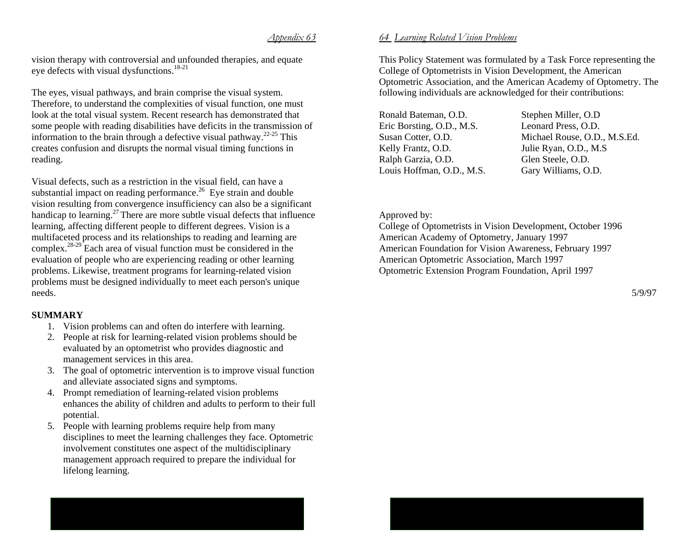#### *Appendix 63*

vision therapy with controversial and unfounded therapies, and equate eye defects with visual dysfunctions.<sup>18-21</sup>

The eyes, visual pathways, and brain comprise the visual system. Therefore, to understand the complexities of visual function, one must look at the total visual system. Recent research has demonstrated that some people with reading disabilities have deficits in the transmission of information to the brain through a defective visual pathway.<sup>22-25</sup> This creates confusion and disrupts the normal visual timing functions in reading.

Visual defects, such as a restriction in the visual field, can have a substantial impact on reading performance.<sup>26</sup> Eye strain and double vision resulting from convergence insufficiency can also be a significant handicap to learning.<sup>27</sup> There are more subtle visual defects that influence learning, affecting different people to different degrees. Vision is a multifaceted process and its relationships to reading and learning are complex.<sup>28-29</sup> Each area of visual function must be considered in the evaluation of people who are experiencing reading or other learning problems. Likewise, treatment programs for learning-related vision problems must be designed individually to meet each person's unique needs.

# **SUMMARY**

- 1. Vision problems can and often do interfere with learning.
- 2. People at risk for learning-related vision problems should be evaluated by an optometrist who provides diagnostic and management services in this area.
- 3. The goal of optometric intervention is to improve visual function and alleviate associated signs and symptoms.
- 4. Prompt remediation of learning-related vision problems enhances the ability of children and adults to perform to their full potential.
- 5. People with learning problems require help from many disciplines to meet the learning challenges they face. Optometric involvement constitutes one aspect of the multidisciplinary management approach required to prepare the individual for lifelong learning.

# *64 Learning Related Vision Problems*

This Policy Statement was formulated by a Task Force representing the College of Optometrists in Vision Development, the American Optometric Association, and the American Academy of Optometry. The following individuals are acknowledged for their contributions:

Ronald Bateman, O.D. Stephen Miller, O.D Eric Borsting, O.D., M.S. Leonard Press, O.D. Kelly Frantz, O.D. Julie Ryan, O.D., M.S Ralph Garzia, O.D. Glen Steele, O.D. Louis Hoffman, O.D., M.S. Gary Williams, O.D.

Susan Cotter, O.D. Michael Rouse, O.D., M.S.Ed.

# Approved by:

College of Optometrists in Vision Development, October 1996 American Academy of Optometry, January 1997 American Foundation for Vision Awareness, February 1997 American Optometric Association, March 1997 Optometric Extension Program Foundation, April 1997

5/9/97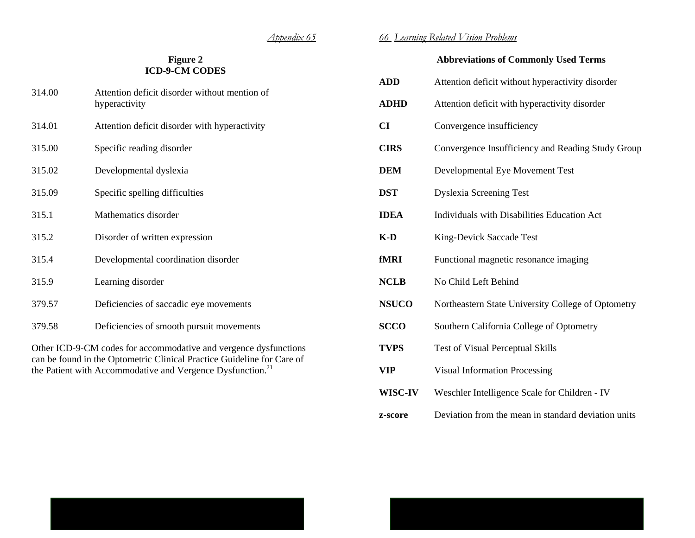# **Figure 2 ICD-9-CM CODES**

| 314.00                                                           | Attention deficit disorder without mention of<br>hyperactivity |  |  |
|------------------------------------------------------------------|----------------------------------------------------------------|--|--|
| 314.01                                                           | Attention deficit disorder with hyperactivity                  |  |  |
| 315.00                                                           | Specific reading disorder                                      |  |  |
| 315.02                                                           | Developmental dyslexia                                         |  |  |
| 315.09                                                           | Specific spelling difficulties                                 |  |  |
| 315.1                                                            | Mathematics disorder                                           |  |  |
| 315.2                                                            | Disorder of written expression                                 |  |  |
| 315.4                                                            | Developmental coordination disorder                            |  |  |
| 315.9                                                            | Learning disorder                                              |  |  |
| 379.57                                                           | Deficiencies of saccadic eye movements                         |  |  |
| 379.58                                                           | Deficiencies of smooth pursuit movements                       |  |  |
| Other ICD-9-CM codes for accommodative and vergence dysfunctions |                                                                |  |  |

can be found in the Optometric Clinical Practice Guideline for Care of the Patient with Accommodative and Vergence Dysfunction.<sup>21</sup>

# *66 Learning Related Vision Problems*

# **Abbreviations of Commonly Used Terms**

| <b>ADD</b>   | Attention deficit without hyperactivity disorder    |
|--------------|-----------------------------------------------------|
| <b>ADHD</b>  | Attention deficit with hyperactivity disorder       |
| <b>CI</b>    | Convergence insufficiency                           |
| <b>CIRS</b>  | Convergence Insufficiency and Reading Study Group   |
| <b>DEM</b>   | Developmental Eye Movement Test                     |
| <b>DST</b>   | <b>Dyslexia Screening Test</b>                      |
| <b>IDEA</b>  | Individuals with Disabilities Education Act         |
| $K-D$        | King-Devick Saccade Test                            |
| fMRI         | Functional magnetic resonance imaging               |
| <b>NCLB</b>  | No Child Left Behind                                |
| <b>NSUCO</b> | Northeastern State University College of Optometry  |
| <b>SCCO</b>  | Southern California College of Optometry            |
| <b>TVPS</b>  | Test of Visual Perceptual Skills                    |
| <b>VIP</b>   | <b>Visual Information Processing</b>                |
| WISC-IV      | Weschler Intelligence Scale for Children - IV       |
| z-score      | Deviation from the mean in standard deviation units |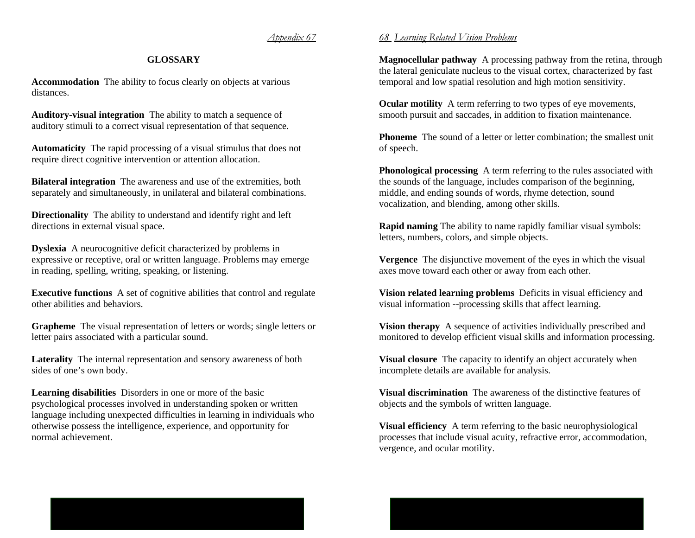# *Appendix 67*

# **GLOSSARY**

**Accommodation** The ability to focus clearly on objects at various distances.

**Auditory-visual integration** The ability to match a sequence of auditory stimuli to a correct visual representation of that sequence.

**Automaticity** The rapid processing of a visual stimulus that does not require direct cognitive intervention or attention allocation.

**Bilateral integration** The awareness and use of the extremities, both separately and simultaneously, in unilateral and bilateral combinations.

**Directionality** The ability to understand and identify right and left directions in external visual space.

**Dyslexia** A neurocognitive deficit characterized by problems in expressive or receptive, oral or written language. Problems may emerge in reading, spelling, writing, speaking, or listening.

**Executive functions** A set of cognitive abilities that control and regulate other abilities and behaviors.

**Grapheme** The visual representation of letters or words; single letters or letter pairs associated with a particular sound.

**Laterality** The internal representation and sensory awareness of both sides of one's own body.

**Learning disabilities** Disorders in one or more of the basic psychological processes involved in understanding spoken or written language including unexpected difficulties in learning in individuals who otherwise possess the intelligence, experience, and opportunity for normal achievement.

# *68 Learning Related Vision Problems*

**Magnocellular pathway** A processing pathway from the retina, through the lateral geniculate nucleus to the visual cortex, characterized by fast temporal and low spatial resolution and high motion sensitivity.

**Ocular motility** A term referring to two types of eye movements, smooth pursuit and saccades, in addition to fixation maintenance.

**Phoneme** The sound of a letter or letter combination; the smallest unit of speech.

**Phonological processing** A term referring to the rules associated with the sounds of the language, includes comparison of the beginning, middle, and ending sounds of words, rhyme detection, sound vocalization, and blending, among other skills.

**Rapid naming** The ability to name rapidly familiar visual symbols: letters, numbers, colors, and simple objects.

**Vergence** The disjunctive movement of the eyes in which the visual axes move toward each other or away from each other.

**Vision related learning problems** Deficits in visual efficiency and visual information --processing skills that affect learning.

**Vision therapy** A sequence of activities individually prescribed and monitored to develop efficient visual skills and information processing.

**Visual closure** The capacity to identify an object accurately when incomplete details are available for analysis.

**Visual discrimination** The awareness of the distinctive features of objects and the symbols of written language.

**Visual efficiency** A term referring to the basic neurophysiological processes that include visual acuity, refractive error, accommodation, vergence, and ocular motility.